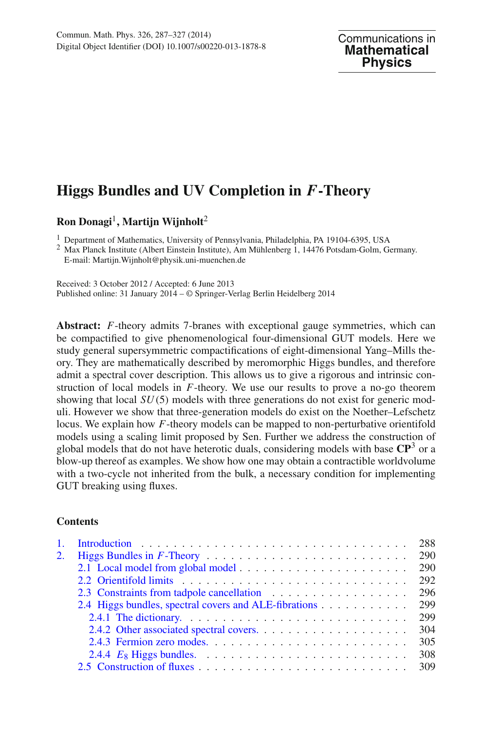# **Higgs Bundles and UV Completion in** *F***-Theory**

**Ron Donagi**1**, Martijn Wijnholt**<sup>2</sup>

<sup>1</sup> Department of Mathematics, University of Pennsylvania, Philadelphia, PA 19104-6395, USA  $^2$  Max Planck Institute (Albert Einstein Institute), Am Mühlenberg 1, 14476 Potsdam-Golm, Germany.

E-mail: Martijn.Wijnholt@physik.uni-muenchen.de

Received: 3 October 2012 / Accepted: 6 June 2013 Published online: 31 January 2014 – © Springer-Verlag Berlin Heidelberg 2014

**Abstract:** *F*-theory admits 7-branes with exceptional gauge symmetries, which can be compactified to give phenomenological four-dimensional GUT models. Here we study general supersymmetric compactifications of eight-dimensional Yang–Mills theory. They are mathematically described by meromorphic Higgs bundles, and therefore admit a spectral cover description. This allows us to give a rigorous and intrinsic construction of local models in *F*-theory. We use our results to prove a no-go theorem showing that local *SU*(5) models with three generations do not exist for generic moduli. However we show that three-generation models do exist on the Noether–Lefschetz locus. We explain how *F*-theory models can be mapped to non-perturbative orientifold models using a scaling limit proposed by Sen. Further we address the construction of global models that do not have heterotic duals, considering models with base  $\mathbb{CP}^3$  or a blow-up thereof as examples. We show how one may obtain a contractible worldvolume with a two-cycle not inherited from the bulk, a necessary condition for implementing GUT breaking using fluxes.

## **Contents**

| $\mathbf{1}_{\mathbf{1}_{\mathbf{1}}}$ |                                                       |      |
|----------------------------------------|-------------------------------------------------------|------|
| 2.                                     |                                                       |      |
|                                        |                                                       | 290  |
|                                        |                                                       | 292  |
|                                        |                                                       | -296 |
|                                        | 2.4 Higgs bundles, spectral covers and ALE-fibrations | 299  |
|                                        |                                                       | 299  |
|                                        |                                                       | 304  |
|                                        |                                                       | 305  |
|                                        |                                                       | 308  |
|                                        |                                                       |      |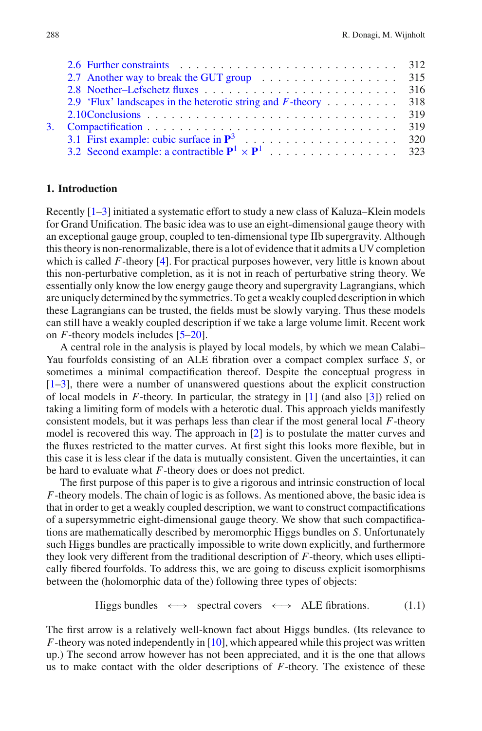|    | 2.9 'Flux' landscapes in the heterotic string and $F$ -theory  318        |  |
|----|---------------------------------------------------------------------------|--|
|    |                                                                           |  |
| 3. |                                                                           |  |
|    |                                                                           |  |
|    | 3.2 Second example: a contractible $\mathbf{P}^1 \times \mathbf{P}^1$ 323 |  |
|    |                                                                           |  |

### <span id="page-1-0"></span>**1. Introduction**

Recently [\[1](#page-39-0)[–3\]](#page-39-1) initiated a systematic effort to study a new class of Kaluza–Klein models for Grand Unification. The basic idea was to use an eight-dimensional gauge theory with an exceptional gauge group, coupled to ten-dimensional type IIb supergravity. Although this theory is non-renormalizable, there is a lot of evidence that it admits a UV completion which is called *F*-theory [\[4\]](#page-39-2). For practical purposes however, very little is known about this non-perturbative completion, as it is not in reach of perturbative string theory. We essentially only know the low energy gauge theory and supergravity Lagrangians, which are uniquely determined by the symmetries. To get a weakly coupled description in which these Lagrangians can be trusted, the fields must be slowly varying. Thus these models can still have a weakly coupled description if we take a large volume limit. Recent work on *F*-theory models includes [\[5](#page-39-3)[–20\]](#page-39-4).

A central role in the analysis is played by local models, by which we mean Calabi– Yau fourfolds consisting of an ALE fibration over a compact complex surface *S*, or sometimes a minimal compactification thereof. Despite the conceptual progress in [\[1](#page-39-0)[–3](#page-39-1)], there were a number of unanswered questions about the explicit construction of local models in *F*-theory. In particular, the strategy in [\[1](#page-39-0)] (and also [\[3\]](#page-39-1)) relied on taking a limiting form of models with a heterotic dual. This approach yields manifestly consistent models, but it was perhaps less than clear if the most general local *F*-theory model is recovered this way. The approach in [\[2](#page-39-5)] is to postulate the matter curves and the fluxes restricted to the matter curves. At first sight this looks more flexible, but in this case it is less clear if the data is mutually consistent. Given the uncertainties, it can be hard to evaluate what *F*-theory does or does not predict.

The first purpose of this paper is to give a rigorous and intrinsic construction of local *F*-theory models. The chain of logic is as follows. As mentioned above, the basic idea is that in order to get a weakly coupled description, we want to construct compactifications of a supersymmetric eight-dimensional gauge theory. We show that such compactifications are mathematically described by meromorphic Higgs bundles on *S*. Unfortunately such Higgs bundles are practically impossible to write down explicitly, and furthermore they look very different from the traditional description of *F*-theory, which uses elliptically fibered fourfolds. To address this, we are going to discuss explicit isomorphisms between the (holomorphic data of the) following three types of objects:

$$
Higgs bundles \leftrightarrow spectral covers \leftrightarrow ALE fibrations. \tag{1.1}
$$

<span id="page-1-1"></span>The first arrow is a relatively well-known fact about Higgs bundles. (Its relevance to *F*-theory was noted independently in [\[10](#page-39-6)], which appeared while this project was written up.) The second arrow however has not been appreciated, and it is the one that allows us to make contact with the older descriptions of *F*-theory. The existence of these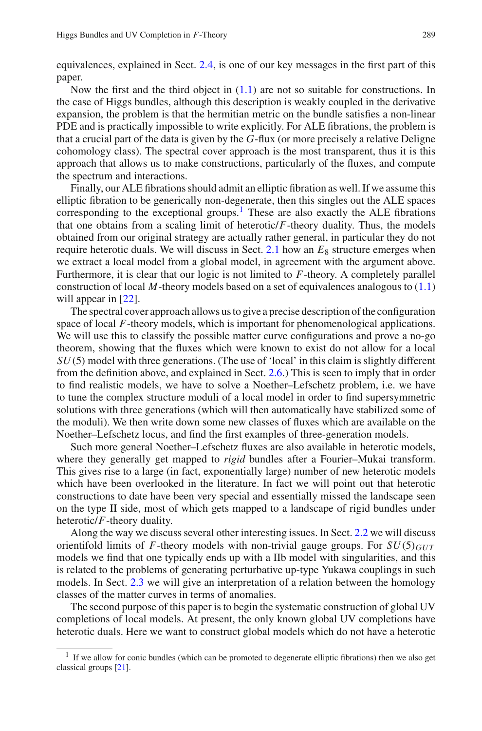equivalences, explained in Sect. [2.4,](#page-12-0) is one of our key messages in the first part of this paper.

Now the first and the third object in [\(1.1\)](#page-1-1) are not so suitable for constructions. In the case of Higgs bundles, although this description is weakly coupled in the derivative expansion, the problem is that the hermitian metric on the bundle satisfies a non-linear PDE and is practically impossible to write explicitly. For ALE fibrations, the problem is that a crucial part of the data is given by the *G*-flux (or more precisely a relative Deligne cohomology class). The spectral cover approach is the most transparent, thus it is this approach that allows us to make constructions, particularly of the fluxes, and compute the spectrum and interactions.

Finally, our ALE fibrations should admit an elliptic fibration as well. If we assume this elliptic fibration to be generically non-degenerate, then this singles out the ALE spaces corresponding to the exceptional groups.<sup>[1](#page-2-0)</sup> These are also exactly the ALE fibrations that one obtains from a scaling limit of heterotic/ $F$ -theory duality. Thus, the models obtained from our original strategy are actually rather general, in particular they do not require heterotic duals. We will discuss in Sect. [2.1](#page-3-1) how an  $E_8$  structure emerges when we extract a local model from a global model, in agreement with the argument above. Furthermore, it is clear that our logic is not limited to *F*-theory. A completely parallel construction of local *M*-theory models based on a set of equivalences analogous to [\(1.1\)](#page-1-1) will appear in [\[22](#page-40-0)].

The spectral cover approach allows us to give a precise description of the configuration space of local *F*-theory models, which is important for phenomenological applications. We will use this to classify the possible matter curve configurations and prove a no-go theorem, showing that the fluxes which were known to exist do not allow for a local *SU*(5) model with three generations. (The use of 'local' in this claim is slightly different from the definition above, and explained in Sect. [2.6.](#page-25-0)) This is seen to imply that in order to find realistic models, we have to solve a Noether–Lefschetz problem, i.e. we have to tune the complex structure moduli of a local model in order to find supersymmetric solutions with three generations (which will then automatically have stabilized some of the moduli). We then write down some new classes of fluxes which are available on the Noether–Lefschetz locus, and find the first examples of three-generation models.

Such more general Noether–Lefschetz fluxes are also available in heterotic models, where they generally get mapped to *rigid* bundles after a Fourier–Mukai transform. This gives rise to a large (in fact, exponentially large) number of new heterotic models which have been overlooked in the literature. In fact we will point out that heterotic constructions to date have been very special and essentially missed the landscape seen on the type II side, most of which gets mapped to a landscape of rigid bundles under heterotic/*F*-theory duality.

Along the way we discuss several other interesting issues. In Sect. [2.2](#page-5-0) we will discuss orientifold limits of *F*-theory models with non-trivial gauge groups. For  $SU(5)_{GUT}$ models we find that one typically ends up with a IIb model with singularities, and this is related to the problems of generating perturbative up-type Yukawa couplings in such models. In Sect. [2.3](#page-9-0) we will give an interpretation of a relation between the homology classes of the matter curves in terms of anomalies.

The second purpose of this paper is to begin the systematic construction of global UV completions of local models. At present, the only known global UV completions have heterotic duals. Here we want to construct global models which do not have a heterotic

<span id="page-2-0"></span> $1$  If we allow for conic bundles (which can be promoted to degenerate elliptic fibrations) then we also get classical groups [\[21\]](#page-40-1).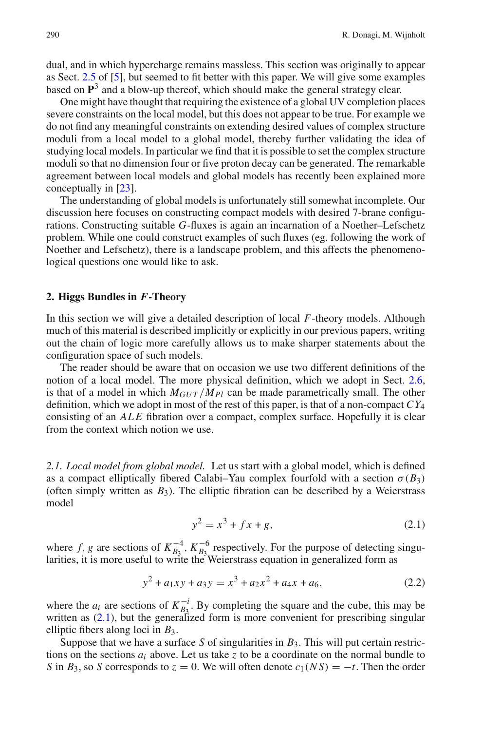dual, and in which hypercharge remains massless. This section was originally to appear as Sect. [2.5](#page-22-0) of [\[5\]](#page-39-3), but seemed to fit better with this paper. We will give some examples based on **P**<sup>3</sup> and a blow-up thereof, which should make the general strategy clear.

One might have thought that requiring the existence of a global UV completion places severe constraints on the local model, but this does not appear to be true. For example we do not find any meaningful constraints on extending desired values of complex structure moduli from a local model to a global model, thereby further validating the idea of studying local models. In particular we find that it is possible to set the complex structure moduli so that no dimension four or five proton decay can be generated. The remarkable agreement between local models and global models has recently been explained more conceptually in [\[23](#page-40-2)].

The understanding of global models is unfortunately still somewhat incomplete. Our discussion here focuses on constructing compact models with desired 7-brane configurations. Constructing suitable *G*-fluxes is again an incarnation of a Noether–Lefschetz problem. While one could construct examples of such fluxes (eg. following the work of Noether and Lefschetz), there is a landscape problem, and this affects the phenomenological questions one would like to ask.

#### <span id="page-3-0"></span>**2. Higgs Bundles in** *F***-Theory**

In this section we will give a detailed description of local *F*-theory models. Although much of this material is described implicitly or explicitly in our previous papers, writing out the chain of logic more carefully allows us to make sharper statements about the configuration space of such models.

The reader should be aware that on occasion we use two different definitions of the notion of a local model. The more physical definition, which we adopt in Sect. [2.6,](#page-25-0) is that of a model in which  $M_{GUT}/M_{Pl}$  can be made parametrically small. The other definition, which we adopt in most of the rest of this paper, is that of a non-compact *CY*<sup>4</sup> consisting of an *ALE* fibration over a compact, complex surface. Hopefully it is clear from the context which notion we use.

<span id="page-3-1"></span>*2.1. Local model from global model.* Let us start with a global model, which is defined as a compact elliptically fibered Calabi–Yau complex fourfold with a section  $\sigma(B_3)$ (often simply written as  $B_3$ ). The elliptic fibration can be described by a Weierstrass model

$$
y^2 = x^3 + fx + g,\tag{2.1}
$$

where *f*, *g* are sections of  $K_{B_3}^{-4}$ ,  $K_{B_3}^{-6}$  respectively. For the purpose of detecting singularities, it is more useful to write the Weierstrass equation in generalized form as

<span id="page-3-2"></span>
$$
y^{2} + a_{1}xy + a_{3}y = x^{3} + a_{2}x^{2} + a_{4}x + a_{6},
$$
\n(2.2)

<span id="page-3-3"></span>where the  $a_i$  are sections of  $K_{B_3}^{-i}$ . By completing the square and the cube, this may be written as [\(2.1\)](#page-3-2), but the generalized form is more convenient for prescribing singular elliptic fibers along loci in *B*3.

Suppose that we have a surface *S* of singularities in *B*3. This will put certain restrictions on the sections *ai* above. Let us take *z* to be a coordinate on the normal bundle to *S* in *B*<sub>3</sub>, so *S* corresponds to  $z = 0$ . We will often denote  $c_1(NS) = -t$ . Then the order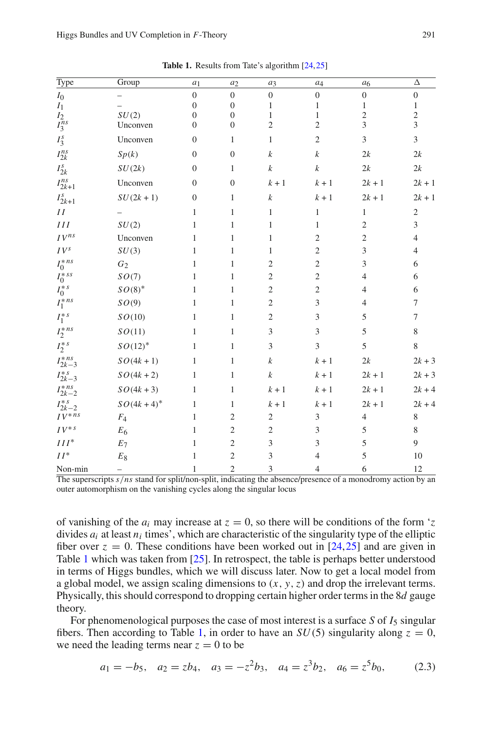| Type                   | Group             | $a_1$                        | $a_2$                            | $a_3$                          | $a_4$               | a <sub>6</sub>      | $\overline{\Delta}$          |
|------------------------|-------------------|------------------------------|----------------------------------|--------------------------------|---------------------|---------------------|------------------------------|
| $I_0$                  |                   | $\boldsymbol{0}$             | $\boldsymbol{0}$                 | $\boldsymbol{0}$               | $\boldsymbol{0}$    | $\boldsymbol{0}$    | $\boldsymbol{0}$             |
| $I_1$                  |                   | $\boldsymbol{0}$             | $\boldsymbol{0}$                 | $\mathbf{1}$                   | 1                   | 1                   | $\mathbf{1}$                 |
| $I_2^{ns} \\ I_3^{ns}$ | SU(2)<br>Unconven | $\mathbf{0}$<br>$\mathbf{0}$ | $\mathbf{0}$<br>$\boldsymbol{0}$ | $\mathbf{1}$<br>$\overline{c}$ | 1<br>$\overline{c}$ | $\overline{c}$<br>3 | $\sqrt{2}$<br>$\mathfrak{Z}$ |
| $I_3^s$                | Unconven          | $\mathbf{0}$                 | $\mathbf{1}$                     | 1                              | $\overline{2}$      | 3                   | 3                            |
| $I_{2k}^{ns}$          | Sp(k)             | $\mathbf{0}$                 | $\overline{0}$                   | $\boldsymbol{k}$               | $\boldsymbol{k}$    | 2k                  | 2k                           |
| $I^s_{2k}$             | SU(2k)            | $\Omega$                     | $\mathbf{1}$                     | $\boldsymbol{k}$               | $\boldsymbol{k}$    | $2k\,$              | $2k\,$                       |
| $I^{ns}_{2k+1}$        | Unconven          | $\theta$                     | $\mathbf{0}$                     | $k + 1$                        | $k + 1$             | $2k + 1$            | $2k + 1$                     |
| $I^s_{2k+1}$           | $SU(2k+1)$        | $\theta$                     | $\mathbf{1}$                     | $\boldsymbol{k}$               | $k + 1$             | $2k+1$              | $2k + 1$                     |
| II                     |                   | 1                            | 1                                | 1                              | 1                   | $\mathbf{1}$        | $\mathfrak{2}$               |
| III                    | SU(2)             | 1                            | $\mathbf{1}$                     | 1                              | 1                   | $\mathfrak{2}$      | 3                            |
| $IV^{ns}$              | Unconven          | 1                            | $\mathbf{1}$                     | $\mathbf{1}$                   | $\mathfrak{2}$      | $\mathfrak{2}$      | $\overline{4}$               |
| IV <sup>s</sup>        | SU(3)             | 1                            | 1                                | 1                              | $\overline{c}$      | 3                   | $\overline{4}$               |
| $I_0^{*ns}$            | $G_2$             | 1                            | 1                                | $\mathfrak{2}$                 | $\overline{2}$      | 3                   | 6                            |
| $I_0^{*\,ss}$          | SO(7)             | 1                            | 1                                | $\mathfrak{2}$                 | $\overline{c}$      | $\overline{4}$      | 6                            |
| $I_0^{*s}$             | $SO(8)$ *         | 1                            | 1                                | $\mathfrak{2}$                 | $\overline{c}$      | 4                   | 6                            |
| $I_1^{*ns}$            | SO(9)             | 1                            | $\mathbf{1}$                     | $\mathfrak{2}$                 | 3                   | $\overline{4}$      | $\tau$                       |
| $I_1^{*s}$             | SO(10)            | 1                            | 1                                | $\mathfrak{2}$                 | 3                   | 5                   | $\tau$                       |
| $I_2^{*ns}$            | SO(11)            | 1                            | $\mathbf{1}$                     | 3                              | $\overline{3}$      | 5                   | 8                            |
| $I_2^{*s}$             | $SO(12)^*$        | 1                            | $\mathbf{1}$                     | 3                              | 3                   | 5                   | $\,8\,$                      |
| $I^{* \, ns}_{2k-3}$   | $SO(4k+1)$        | 1                            | $\mathbf{1}$                     | $\boldsymbol{k}$               | $k + 1$             | $2k$                | $2k+3$                       |
| $I^{*s}_{2k-3}$        | $SO(4k+2)$        | 1                            | 1                                | $\boldsymbol{k}$               | $k + 1$             | $2k + 1$            | $2k + 3$                     |
| $I^{* \, ns}_{2k-2}$   | $SO(4k + 3)$      | 1                            | $\mathbf{1}$                     | $k + 1$                        | $k + 1$             | $2k + 1$            | $2k + 4$                     |
| $I^{*s}_{2k-2}$        | $SO(4k + 4)^*$    | 1                            | $\mathbf{1}$                     | $k + 1$                        | $k + 1$             | $2k + 1$            | $2k + 4$                     |
| $IV^{*ns}$             | $F_4$             | 1                            | $\overline{c}$                   | $\mathbf{2}$                   | 3                   | $\overline{4}$      | 8                            |
| $IV^{\ast s}$          | $E_6$             | 1                            | $\overline{c}$                   | $\mathfrak{2}$                 | 3                   | 5                   | 8                            |
| $III^{\ast}$           | $E_7$             | 1                            | $\overline{c}$                   | 3                              | 3                   | 5                   | 9                            |
| $II^*$                 | $E_8$             | 1                            | $\overline{c}$                   | 3                              | $\overline{4}$      | 5                   | 10                           |
| Non-min                |                   | $\mathbf{1}$                 | $\overline{c}$                   | 3                              | $\overline{4}$      | 6                   | 12                           |

<span id="page-4-0"></span>Table 1. Results from Tate's algorithm [\[24](#page-40-3)[,25](#page-40-4)]

The superscripts  $s/ns$  stand for split/non-split, indicating the absence/presence of a monodromy action by an outer automorphism on the vanishing cycles along the singular locus

of vanishing of the  $a_i$  may increase at  $z = 0$ , so there will be conditions of the form 'z divides  $a_i$  at least  $n_i$  times', which are characteristic of the singularity type of the elliptic fiber over  $z = 0$ . These conditions have been worked out in [\[24](#page-40-3)[,25](#page-40-4)] and are given in Table [1](#page-4-0) which was taken from [\[25](#page-40-4)]. In retrospect, the table is perhaps better understood in terms of Higgs bundles, which we will discuss later. Now to get a local model from a global model, we assign scaling dimensions to (*x*, *y*,*z*) and drop the irrelevant terms. Physically, this should correspond to dropping certain higher order terms in the 8*d* gauge theory.

For phenomenological purposes the case of most interest is a surface *S* of *I*<sub>5</sub> singular fibers. Then according to Table [1,](#page-4-0) in order to have an  $SU(5)$  singularity along  $z = 0$ , we need the leading terms near  $z = 0$  to be

$$
a_1 = -b_5
$$
,  $a_2 = zb_4$ ,  $a_3 = -z^2b_3$ ,  $a_4 = z^3b_2$ ,  $a_6 = z^5b_0$ , (2.3)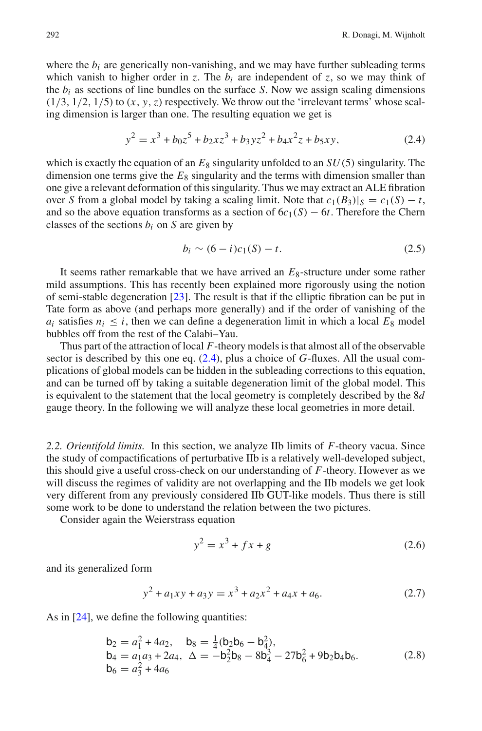where the  $b_i$  are generically non-vanishing, and we may have further subleading terms which vanish to higher order in *z*. The  $b_i$  are independent of *z*, so we may think of the  $b_i$  as sections of line bundles on the surface *S*. Now we assign scaling dimensions  $(1/3, 1/2, 1/5)$  to  $(x, y, z)$  respectively. We throw out the 'irrelevant terms' whose scaling dimension is larger than one. The resulting equation we get is

$$
y^2 = x^3 + b_0 z^5 + b_2 x z^3 + b_3 y z^2 + b_4 x^2 z + b_5 x y,
$$
 (2.4)

<span id="page-5-1"></span>which is exactly the equation of an  $E_8$  singularity unfolded to an  $SU(5)$  singularity. The dimension one terms give the  $E_8$  singularity and the terms with dimension smaller than one give a relevant deformation of this singularity. Thus we may extract an ALE fibration over *S* from a global model by taking a scaling limit. Note that  $c_1(B_3)|_S = c_1(S) - t$ , and so the above equation transforms as a section of  $6c_1(S) - 6t$ . Therefore the Chern classes of the sections  $b_i$  on  $S$  are given by

$$
b_i \sim (6-i)c_1(S) - t. \tag{2.5}
$$

It seems rather remarkable that we have arrived an *E*8-structure under some rather mild assumptions. This has recently been explained more rigorously using the notion of semi-stable degeneration [\[23](#page-40-2)]. The result is that if the elliptic fibration can be put in Tate form as above (and perhaps more generally) and if the order of vanishing of the  $a_i$  satisfies  $n_i \leq i$ , then we can define a degeneration limit in which a local  $E_8$  model bubbles off from the rest of the Calabi–Yau.

Thus part of the attraction of local *F*-theory models is that almost all of the observable sector is described by this one eq. [\(2.4\)](#page-5-1), plus a choice of *G*-fluxes. All the usual complications of global models can be hidden in the subleading corrections to this equation, and can be turned off by taking a suitable degeneration limit of the global model. This is equivalent to the statement that the local geometry is completely described by the 8*d* gauge theory. In the following we will analyze these local geometries in more detail.

<span id="page-5-0"></span>*2.2. Orientifold limits.* In this section, we analyze IIb limits of *F*-theory vacua. Since the study of compactifications of perturbative IIb is a relatively well-developed subject, this should give a useful cross-check on our understanding of *F*-theory. However as we will discuss the regimes of validity are not overlapping and the IIb models we get look very different from any previously considered IIb GUT-like models. Thus there is still some work to be done to understand the relation between the two pictures.

Consider again the Weierstrass equation

$$
y^2 = x^3 + fx + g \tag{2.6}
$$

and its generalized form

$$
y^2 + a_1xy + a_3y = x^3 + a_2x^2 + a_4x + a_6.
$$
 (2.7)

As in [\[24](#page-40-3)], we define the following quantities:

$$
b_2 = a_1^2 + 4a_2, \quad b_8 = \frac{1}{4}(b_2b_6 - b_4^2), b_4 = a_1a_3 + 2a_4, \ \Delta = -b_2^2b_8 - 8b_4^3 - 27b_6^2 + 9b_2b_4b_6. \tag{2.8}
$$
  

$$
b_6 = a_3^2 + 4a_6
$$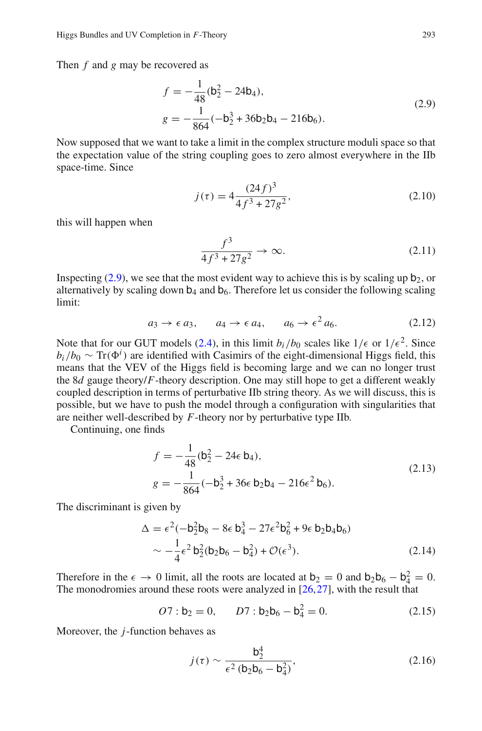<span id="page-6-0"></span>Then *f* and *g* may be recovered as

$$
f = -\frac{1}{48}(\mathsf{b}_2^2 - 24\mathsf{b}_4),
$$
  
\n
$$
g = -\frac{1}{864}(-\mathsf{b}_2^3 + 36\mathsf{b}_2\mathsf{b}_4 - 216\mathsf{b}_6).
$$
\n(2.9)

Now supposed that we want to take a limit in the complex structure moduli space so that the expectation value of the string coupling goes to zero almost everywhere in the IIb space-time. Since

$$
j(\tau) = 4 \frac{(24f)^3}{4f^3 + 27g^2},
$$
\n(2.10)

this will happen when

$$
\frac{f^3}{4f^3 + 27g^2} \to \infty.
$$
 (2.11)

Inspecting [\(2.9\)](#page-6-0), we see that the most evident way to achieve this is by scaling up  $b_2$ , or alternatively by scaling down  $b_4$  and  $b_6$ . Therefore let us consider the following scaling limit:

$$
a_3 \to \epsilon \, a_3, \qquad a_4 \to \epsilon \, a_4, \qquad a_6 \to \epsilon^2 \, a_6. \tag{2.12}
$$

Note that for our GUT models [\(2.4\)](#page-5-1), in this limit  $b_i/b_0$  scales like  $1/\epsilon$  or  $1/\epsilon^2$ . Since  $b_i/b_0 \sim \text{Tr}(\Phi^i)$  are identified with Casimirs of the eight-dimensional Higgs field, this means that the VEV of the Higgs field is becoming large and we can no longer trust the 8*d* gauge theory/ $F$ -theory description. One may still hope to get a different weakly coupled description in terms of perturbative IIb string theory. As we will discuss, this is possible, but we have to push the model through a configuration with singularities that are neither well-described by *F*-theory nor by perturbative type IIb.

Continuing, one finds

$$
f = -\frac{1}{48} (b_2^2 - 24\epsilon b_4),
$$
  
\n
$$
g = -\frac{1}{864} (-b_2^3 + 36\epsilon b_2 b_4 - 216\epsilon^2 b_6).
$$
\n(2.13)

The discriminant is given by

$$
\Delta = \epsilon^2 (-b_2^2 b_8 - 8\epsilon b_4^3 - 27\epsilon^2 b_6^2 + 9\epsilon b_2 b_4 b_6)
$$
  
 
$$
\sim -\frac{1}{4} \epsilon^2 b_2^2 (b_2 b_6 - b_4^2) + \mathcal{O}(\epsilon^3).
$$
 (2.14)

Therefore in the  $\epsilon \to 0$  limit, all the roots are located at  $b_2 = 0$  and  $b_2b_6 - b_4^2 = 0$ . The monodromies around these roots were analyzed in [\[26,](#page-40-5)[27\]](#page-40-6), with the result that

$$
O7: \mathbf{b}_2 = 0, \qquad D7: \mathbf{b}_2 \mathbf{b}_6 - \mathbf{b}_4^2 = 0. \tag{2.15}
$$

Moreover, the *j*-function behaves as

$$
j(\tau) \sim \frac{b_2^4}{\epsilon^2 (b_2 b_6 - b_4^2)},
$$
 (2.16)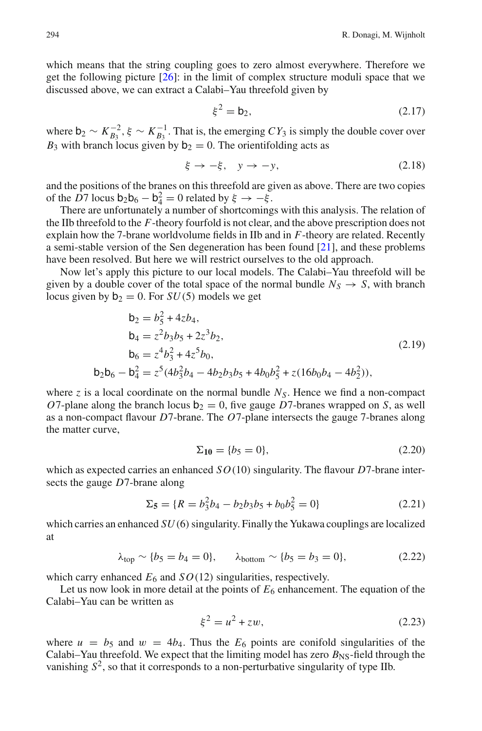which means that the string coupling goes to zero almost everywhere. Therefore we get the following picture [\[26](#page-40-5)]: in the limit of complex structure moduli space that we discussed above, we can extract a Calabi–Yau threefold given by

$$
\xi^2 = b_2, \tag{2.17}
$$

where  $b_2 \sim K_{B_3}^{-2}$ ,  $\xi \sim K_{B_3}^{-1}$ . That is, the emerging *CY*<sub>3</sub> is simply the double cover over  $B_3$  with branch locus given by  $b_2 = 0$ . The orientifolding acts as

$$
\xi \to -\xi, \quad y \to -y,\tag{2.18}
$$

and the positions of the branes on this threefold are given as above. There are two copies of the *D*7 locus  $b_2b_6 - b_4^2 = 0$  related by  $\xi \to -\xi$ .

There are unfortunately a number of shortcomings with this analysis. The relation of the IIb threefold to the *F*-theory fourfold is not clear, and the above prescription does not explain how the 7-brane worldvolume fields in IIb and in *F*-theory are related. Recently a semi-stable version of the Sen degeneration has been found [\[21](#page-40-1)], and these problems have been resolved. But here we will restrict ourselves to the old approach.

Now let's apply this picture to our local models. The Calabi–Yau threefold will be given by a double cover of the total space of the normal bundle  $N_S \rightarrow S$ , with branch locus given by  $b_2 = 0$ . For *SU*(5) models we get

$$
b_2 = b_5^2 + 4zb_4,
$$
  
\n
$$
b_4 = z^2b_3b_5 + 2z^3b_2,
$$
  
\n
$$
b_6 = z^4b_3^2 + 4z^5b_0,
$$
  
\n
$$
b_2b_6 - b_4^2 = z^5(4b_3^2b_4 - 4b_2b_3b_5 + 4b_0b_5^2 + z(16b_0b_4 - 4b_2^2)),
$$
\n(2.19)

where *z* is a local coordinate on the normal bundle  $N<sub>S</sub>$ . Hence we find a non-compact *O*7-plane along the branch locus  $b_2 = 0$ , five gauge *D*7-branes wrapped on *S*, as well as a non-compact flavour *D*7-brane. The *O*7-plane intersects the gauge 7-branes along the matter curve,

$$
\Sigma_{10} = \{b_5 = 0\},\tag{2.20}
$$

which as expected carries an enhanced *SO*(10) singularity. The flavour *D*7-brane intersects the gauge *D*7-brane along

$$
\Sigma_5 = \{R = b_3^2b_4 - b_2b_3b_5 + b_0b_5^2 = 0\}
$$
 (2.21)

which carries an enhanced  $SU(6)$  singularity. Finally the Yukawa couplings are localized at

$$
\lambda_{\text{top}} \sim \{b_5 = b_4 = 0\}, \quad \lambda_{\text{bottom}} \sim \{b_5 = b_3 = 0\},
$$
\n(2.22)

which carry enhanced  $E_6$  and  $SO(12)$  singularities, respectively.

Let us now look in more detail at the points of  $E_6$  enhancement. The equation of the Calabi–Yau can be written as

$$
\xi^2 = u^2 + zw,\tag{2.23}
$$

where  $u = b_5$  and  $w = 4b_4$ . Thus the  $E_6$  points are conifold singularities of the Calabi–Yau threefold. We expect that the limiting model has zero  $B_{\text{NS}}$ -field through the vanishing  $S^2$ , so that it corresponds to a non-perturbative singularity of type IIb.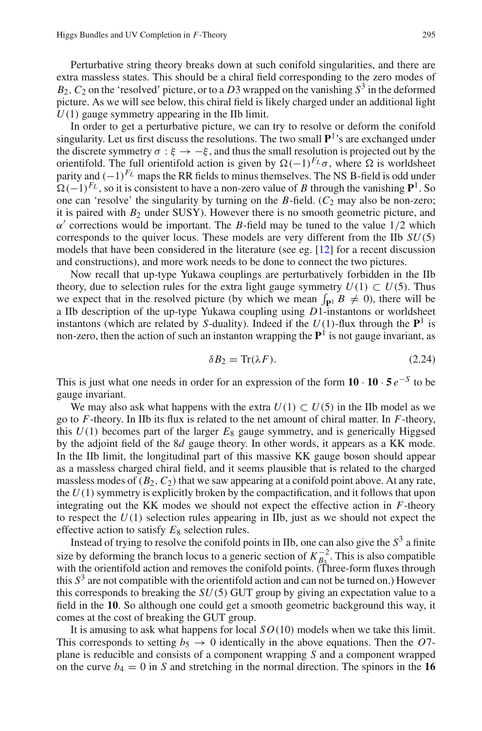Perturbative string theory breaks down at such conifold singularities, and there are extra massless states. This should be a chiral field corresponding to the zero modes of  $B_2$ ,  $C_2$  on the 'resolved' picture, or to a D3 wrapped on the vanishing  $S^3$  in the deformed picture. As we will see below, this chiral field is likely charged under an additional light *U*(1) gauge symmetry appearing in the IIb limit.

In order to get a perturbative picture, we can try to resolve or deform the conifold singularity. Let us first discuss the resolutions. The two small **P**1's are exchanged under the discrete symmetry  $\sigma : \xi \to -\xi$ , and thus the small resolution is projected out by the orientifold. The full orientifold action is given by  $\Omega(-1)^{F<sub>L</sub>} \sigma$ , where  $\Omega$  is worldsheet parity and  $(-1)^{F_L}$  maps the RR fields to minus themselves. The NS B-field is odd under (−1)*FL* , so it is consistent to have a non-zero value of *B* through the vanishing **P**1. So one can 'resolve' the singularity by turning on the  $B$ -field. ( $C_2$  may also be non-zero; it is paired with  $B_2$  under SUSY). However there is no smooth geometric picture, and  $\alpha'$  corrections would be important. The *B*-field may be tuned to the value 1/2 which corresponds to the quiver locus. These models are very different from the IIb *SU*(5) models that have been considered in the literature (see eg. [\[12\]](#page-39-7) for a recent discussion and constructions), and more work needs to be done to connect the two pictures.

Now recall that up-type Yukawa couplings are perturbatively forbidden in the IIb theory, due to selection rules for the extra light gauge symmetry  $U(1) \subset U(5)$ . Thus we expect that in the resolved picture (by which we mean  $\int_{\mathbf{P}^1} B \neq 0$ ), there will be a IIb description of the up-type Yukawa coupling using *D*1-instantons or worldsheet instantons (which are related by *S*-duality). Indeed if the  $U(1)$ -flux through the  $\mathbf{P}^1$  is non-zero, then the action of such an instanton wrapping the **P**<sup>1</sup> is not gauge invariant, as

$$
\delta B_2 = \text{Tr}(\lambda F). \tag{2.24}
$$

This is just what one needs in order for an expression of the form  $10 \cdot 10 \cdot 5 e^{-5}$  to be gauge invariant.

We may also ask what happens with the extra  $U(1) \subset U(5)$  in the IIb model as we go to *F*-theory. In IIb its flux is related to the net amount of chiral matter. In *F*-theory, this  $U(1)$  becomes part of the larger  $E_8$  gauge symmetry, and is generically Higgsed by the adjoint field of the 8*d* gauge theory. In other words, it appears as a KK mode. In the IIb limit, the longitudinal part of this massive KK gauge boson should appear as a massless charged chiral field, and it seems plausible that is related to the charged massless modes of  $(B_2, C_2)$  that we saw appearing at a conifold point above. At any rate, the *U*(1) symmetry is explicitly broken by the compactification, and it follows that upon integrating out the KK modes we should not expect the effective action in *F*-theory to respect the *U*(1) selection rules appearing in IIb, just as we should not expect the effective action to satisfy  $E_8$  selection rules.

Instead of trying to resolve the conifold points in IIb, one can also give the  $S<sup>3</sup>$  a finite size by deforming the branch locus to a generic section of  $K_{B_2}^{-2}$ . This is also compatible with the orientifold action and removes the conifold points. (Three-form fluxes through this  $S<sup>3</sup>$  are not compatible with the orientifold action and can not be turned on.) However this corresponds to breaking the *SU*(5) GUT group by giving an expectation value to a field in the **10**. So although one could get a smooth geometric background this way, it comes at the cost of breaking the GUT group.

It is amusing to ask what happens for local *SO*(10) models when we take this limit. This corresponds to setting  $b_5 \rightarrow 0$  identically in the above equations. Then the *O*7plane is reducible and consists of a component wrapping *S* and a component wrapped on the curve  $b_4 = 0$  in S and stretching in the normal direction. The spinors in the 16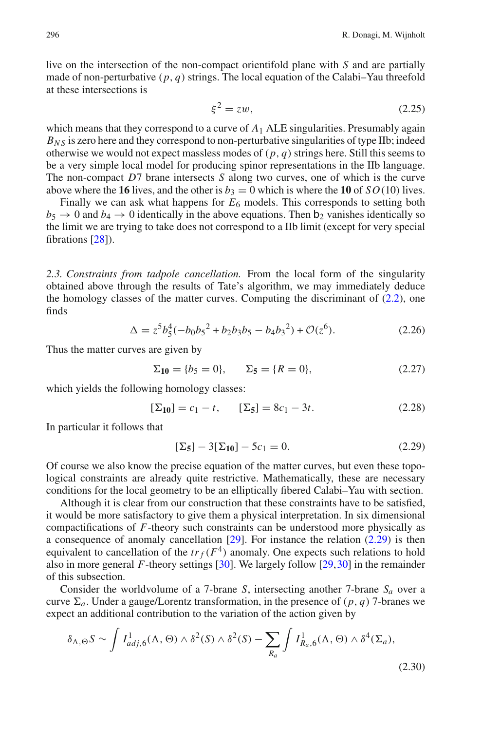live on the intersection of the non-compact orientifold plane with *S* and are partially made of non-perturbative  $(p, q)$  strings. The local equation of the Calabi–Yau threefold at these intersections is

$$
\xi^2 = zw,\tag{2.25}
$$

which means that they correspond to a curve of *A*<sup>1</sup> ALE singularities. Presumably again  $B_{NS}$  is zero here and they correspond to non-perturbative singularities of type IIb; indeed otherwise we would not expect massless modes of (*p*, *q*) strings here. Still this seems to be a very simple local model for producing spinor representations in the IIb language. The non-compact *D*7 brane intersects *S* along two curves, one of which is the curve above where the **16** lives, and the other is  $b_3 = 0$  which is where the **10** of *SO*(10) lives.

Finally we can ask what happens for  $E_6$  models. This corresponds to setting both  $b_5 \rightarrow 0$  and  $b_4 \rightarrow 0$  identically in the above equations. Then  $b_2$  vanishes identically so the limit we are trying to take does not correspond to a IIb limit (except for very special fibrations [\[28\]](#page-40-7)).

<span id="page-9-0"></span>*2.3. Constraints from tadpole cancellation.* From the local form of the singularity obtained above through the results of Tate's algorithm, we may immediately deduce the homology classes of the matter curves. Computing the discriminant of  $(2.2)$ , one finds

$$
\Delta = z^5 b_5^4 (-b_0 b_5^2 + b_2 b_3 b_5 - b_4 b_3^2) + \mathcal{O}(z^6).
$$
 (2.26)

<span id="page-9-2"></span>Thus the matter curves are given by

$$
\Sigma_{10} = \{b_5 = 0\}, \qquad \Sigma_5 = \{R = 0\},\tag{2.27}
$$

which yields the following homology classes:

$$
[\Sigma_{10}] = c_1 - t, \qquad [\Sigma_5] = 8c_1 - 3t. \tag{2.28}
$$

<span id="page-9-1"></span>In particular it follows that

$$
[\Sigma_5] - 3[\Sigma_{10}] - 5c_1 = 0. \tag{2.29}
$$

Of course we also know the precise equation of the matter curves, but even these topological constraints are already quite restrictive. Mathematically, these are necessary conditions for the local geometry to be an elliptically fibered Calabi–Yau with section.

Although it is clear from our construction that these constraints have to be satisfied, it would be more satisfactory to give them a physical interpretation. In six dimensional compactifications of *F*-theory such constraints can be understood more physically as a consequence of anomaly cancellation [\[29\]](#page-40-8). For instance the relation [\(2.29\)](#page-9-1) is then equivalent to cancellation of the  $tr_f(F^4)$  anomaly. One expects such relations to hold also in more general *F*-theory settings [\[30\]](#page-40-9). We largely follow [\[29](#page-40-8)[,30](#page-40-9)] in the remainder of this subsection.

Consider the worldvolume of a 7-brane *S*, intersecting another 7-brane *Sa* over a curve  $\Sigma_a$ . Under a gauge/Lorentz transformation, in the presence of  $(p, q)$  7-branes we expect an additional contribution to the variation of the action given by

$$
\delta_{\Lambda,\Theta} S \sim \int I_{adj,6}^1(\Lambda,\Theta) \wedge \delta^2(S) \wedge \delta^2(S) - \sum_{R_a} \int I_{R_a,6}^1(\Lambda,\Theta) \wedge \delta^4(\Sigma_a),\tag{2.30}
$$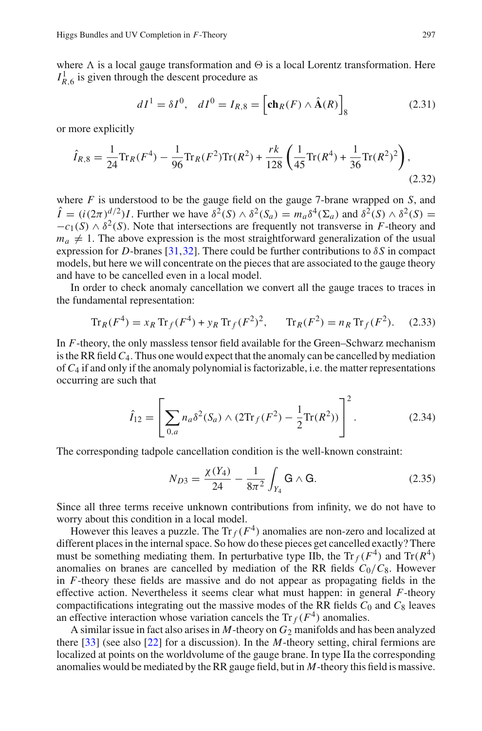where  $\Lambda$  is a local gauge transformation and  $\Theta$  is a local Lorentz transformation. Here  $I_{R,6}^1$  is given through the descent procedure as

$$
dI^1 = \delta I^0, \quad dI^0 = I_{R,8} = \left[\mathbf{ch}_R(F) \wedge \hat{\mathbf{A}}(R)\right]_8 \tag{2.31}
$$

or more explicitly

$$
\hat{I}_{R,8} = \frac{1}{24} \text{Tr}_R(F^4) - \frac{1}{96} \text{Tr}_R(F^2) \text{Tr}(R^2) + \frac{rk}{128} \left( \frac{1}{45} \text{Tr}(R^4) + \frac{1}{36} \text{Tr}(R^2)^2 \right),\tag{2.32}
$$

where *F* is understood to be the gauge field on the gauge 7-brane wrapped on *S*, and  $\hat{I} = (i(2\pi)^{d/2})I$ . Further we have  $\delta^2(S) \wedge \delta^2(S_a) = m_a \delta^4(\Sigma_a)$  and  $\delta^2(S) \wedge \delta^2(S) =$  $-c_1(S) \wedge \delta^2(S)$ . Note that intersections are frequently not transverse in *F*-theory and  $m_a \neq 1$ . The above expression is the most straightforward generalization of the usual expression for *D*-branes [\[31,](#page-40-10)[32\]](#page-40-11). There could be further contributions to δ*S* in compact models, but here we will concentrate on the pieces that are associated to the gauge theory and have to be cancelled even in a local model.

In order to check anomaly cancellation we convert all the gauge traces to traces in the fundamental representation:

$$
\operatorname{Tr}_R(F^4) = x_R \operatorname{Tr}_f(F^4) + y_R \operatorname{Tr}_f(F^2)^2, \qquad \operatorname{Tr}_R(F^2) = n_R \operatorname{Tr}_f(F^2). \tag{2.33}
$$

In *F*-theory, the only massless tensor field available for the Green–Schwarz mechanism is the RR field*C*4. Thus one would expect that the anomaly can be cancelled by mediation of *C*<sup>4</sup> if and only if the anomaly polynomial is factorizable, i.e. the matter representations occurring are such that

$$
\hat{I}_{12} = \left[ \sum_{0,a} n_a \delta^2(S_a) \wedge (2 \text{Tr}_f(F^2) - \frac{1}{2} \text{Tr}(R^2)) \right]^2.
$$
 (2.34)

The corresponding tadpole cancellation condition is the well-known constraint:

$$
N_{D3} = \frac{\chi(Y_4)}{24} - \frac{1}{8\pi^2} \int_{Y_4} \mathbf{G} \wedge \mathbf{G}.
$$
 (2.35)

Since all three terms receive unknown contributions from infinity, we do not have to worry about this condition in a local model.

However this leaves a puzzle. The  $\text{Tr}_f(F^4)$  anomalies are non-zero and localized at different places in the internal space. So how do these pieces get cancelled exactly? There must be something mediating them. In perturbative type IIb, the Tr  $_f(F^4)$  and Tr( $R^4$ ) anomalies on branes are cancelled by mediation of the RR fields  $C_0/C_8$ . However in *F*-theory these fields are massive and do not appear as propagating fields in the effective action. Nevertheless it seems clear what must happen: in general *F*-theory compactifications integrating out the massive modes of the RR fields  $C_0$  and  $C_8$  leaves an effective interaction whose variation cancels the  $\text{Tr}_f(F^4)$  anomalies.

A similar issue in fact also arises in *M*-theory on  $G_2$  manifolds and has been analyzed there [\[33\]](#page-40-12) (see also [\[22\]](#page-40-0) for a discussion). In the *M*-theory setting, chiral fermions are localized at points on the worldvolume of the gauge brane. In type IIa the corresponding anomalies would be mediated by the RR gauge field, but in *M*-theory this field is massive.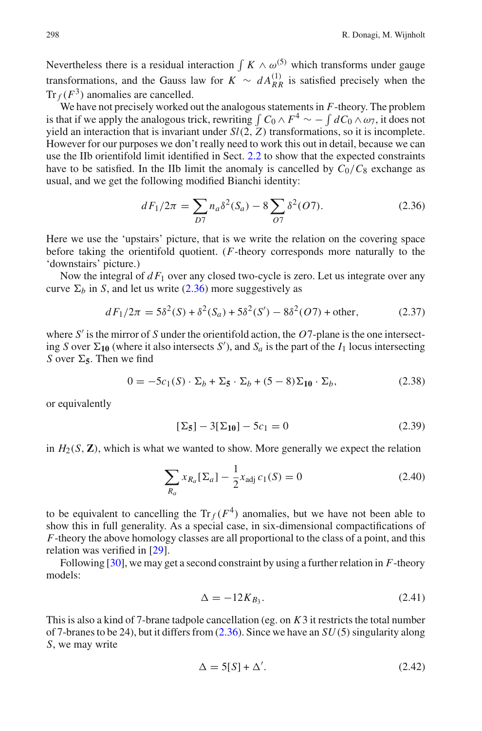Nevertheless there is a residual interaction  $\int K \wedge \omega^{(5)}$  which transforms under gauge transformations, and the Gauss law for  $K \sim dA_{RR}^{(1)}$  is satisfied precisely when the Tr  $f(F^3)$  anomalies are cancelled.

We have not precisely worked out the analogous statements in  $F$ -theory. The problem is that if we apply the analogous trick, rewriting  $\int C_0 \wedge F^4 \sim -\int dC_0 \wedge \omega_7$ , it does not yield an interaction that is invariant under  $Sl(2, Z)$  transformations, so it is incomplete. However for our purposes we don't really need to work this out in detail, because we can use the IIb orientifold limit identified in Sect. [2.2](#page-5-0) to show that the expected constraints have to be satisfied. In the IIb limit the anomaly is cancelled by  $C_0/C_8$  exchange as usual, and we get the following modified Bianchi identity:

$$
dF_1/2\pi = \sum_{D7} n_a \delta^2(S_a) - 8 \sum_{O7} \delta^2(O7). \tag{2.36}
$$

<span id="page-11-0"></span>Here we use the 'upstairs' picture, that is we write the relation on the covering space before taking the orientifold quotient. (*F*-theory corresponds more naturally to the 'downstairs' picture.)

Now the integral of  $dF_1$  over any closed two-cycle is zero. Let us integrate over any curve  $\Sigma_b$  in *S*, and let us write [\(2.36\)](#page-11-0) more suggestively as

$$
dF_1/2\pi = 5\delta^2(S) + \delta^2(S_a) + 5\delta^2(S') - 8\delta^2(O7) + \text{other},\tag{2.37}
$$

where *S'* is the mirror of *S* under the orientifold action, the *O*7-plane is the one intersecting *S* over  $\Sigma_{10}$  (where it also intersects *S'*), and *S<sub>a</sub>* is the part of the *I*<sub>1</sub> locus intersecting *S* over  $\Sigma$ <sub>5</sub>. Then we find

<span id="page-11-1"></span>
$$
0 = -5c1(S) \cdot \Sigma_b + \Sigma_5 \cdot \Sigma_b + (5-8)\Sigma_{10} \cdot \Sigma_b, \qquad (2.38)
$$

or equivalently

$$
[\Sigma_5] - 3[\Sigma_{10}] - 5c_1 = 0 \tag{2.39}
$$

in  $H_2(S, \mathbb{Z})$ , which is what we wanted to show. More generally we expect the relation

$$
\sum_{R_a} x_{R_a} [\Sigma_a] - \frac{1}{2} x_{\text{adj}} c_1(S) = 0
$$
 (2.40)

to be equivalent to cancelling the  $\text{Tr}_f(F^4)$  anomalies, but we have not been able to show this in full generality. As a special case, in six-dimensional compactifications of *F*-theory the above homology classes are all proportional to the class of a point, and this relation was verified in [\[29](#page-40-8)].

Following [\[30](#page-40-9)], we may get a second constraint by using a further relation in *F*-theory models:

$$
\Delta = -12K_{B_3}.\tag{2.41}
$$

This is also a kind of 7-brane tadpole cancellation (eg. on *K*3 it restricts the total number of 7-branes to be 24), but it differs from  $(2.36)$ . Since we have an  $SU(5)$  singularity along *S*, we may write

$$
\Delta = 5[S] + \Delta'. \tag{2.42}
$$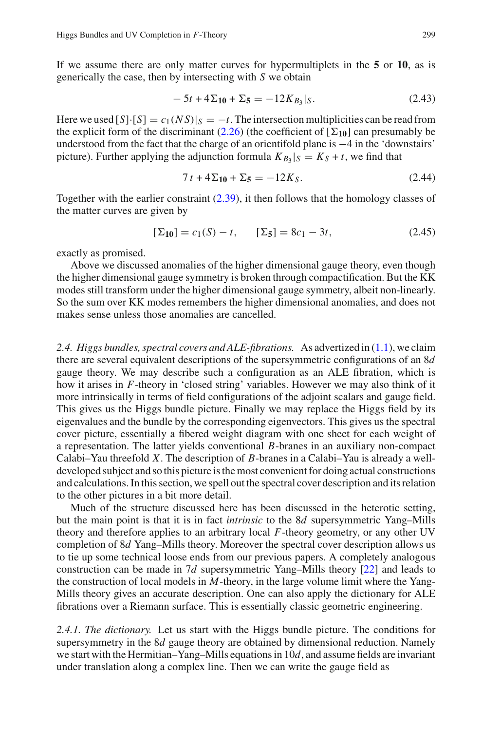If we assume there are only matter curves for hypermultiplets in the **5** or **10**, as is generically the case, then by intersecting with *S* we obtain

$$
-5t + 4\Sigma_{10} + \Sigma_5 = -12K_{B_3}|_S. \tag{2.43}
$$

Here we used  $[S] \cdot [S] = c_1(NS)|_S = -t$ . The intersection multiplicities can be read from the explicit form of the discriminant  $(2.26)$  (the coefficient of  $[\Sigma_{10}]$  can presumably be understood from the fact that the charge of an orientifold plane is −4 in the 'downstairs' picture). Further applying the adjunction formula  $K_{B_3}|_S = K_S + t$ , we find that

$$
7t + 4\Sigma_{10} + \Sigma_5 = -12K_S.
$$
 (2.44)

Together with the earlier constraint [\(2.39\)](#page-11-1), it then follows that the homology classes of the matter curves are given by

$$
[\Sigma_{10}] = c_1(S) - t, \qquad [\Sigma_5] = 8c_1 - 3t, \tag{2.45}
$$

exactly as promised.

Above we discussed anomalies of the higher dimensional gauge theory, even though the higher dimensional gauge symmetry is broken through compactification. But the KK modes still transform under the higher dimensional gauge symmetry, albeit non-linearly. So the sum over KK modes remembers the higher dimensional anomalies, and does not makes sense unless those anomalies are cancelled.

<span id="page-12-0"></span>*2.4. Higgs bundles, spectral covers and ALE-fibrations.* As advertized in [\(1.1\)](#page-1-1), we claim there are several equivalent descriptions of the supersymmetric configurations of an 8*d* gauge theory. We may describe such a configuration as an ALE fibration, which is how it arises in *F*-theory in 'closed string' variables. However we may also think of it more intrinsically in terms of field configurations of the adjoint scalars and gauge field. This gives us the Higgs bundle picture. Finally we may replace the Higgs field by its eigenvalues and the bundle by the corresponding eigenvectors. This gives us the spectral cover picture, essentially a fibered weight diagram with one sheet for each weight of a representation. The latter yields conventional *B*-branes in an auxiliary non-compact Calabi–Yau threefold *X*. The description of *B*-branes in a Calabi–Yau is already a welldeveloped subject and so this picture is the most convenient for doing actual constructions and calculations. In this section, we spell out the spectral cover description and its relation to the other pictures in a bit more detail.

Much of the structure discussed here has been discussed in the heterotic setting, but the main point is that it is in fact *intrinsic* to the 8*d* supersymmetric Yang–Mills theory and therefore applies to an arbitrary local *F*-theory geometry, or any other UV completion of 8*d* Yang–Mills theory. Moreover the spectral cover description allows us to tie up some technical loose ends from our previous papers. A completely analogous construction can be made in 7*d* supersymmetric Yang–Mills theory [\[22\]](#page-40-0) and leads to the construction of local models in *M*-theory, in the large volume limit where the Yang-Mills theory gives an accurate description. One can also apply the dictionary for ALE fibrations over a Riemann surface. This is essentially classic geometric engineering.

<span id="page-12-1"></span>2.4.1. The dictionary. Let us start with the Higgs bundle picture. The conditions for supersymmetry in the 8*d* gauge theory are obtained by dimensional reduction. Namely we start with the Hermitian–Yang–Mills equations in 10*d*, and assume fields are invariant under translation along a complex line. Then we can write the gauge field as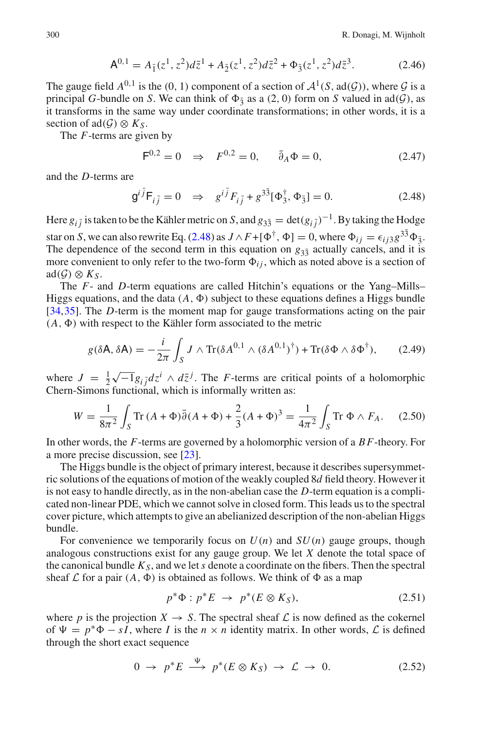$$
\mathsf{A}^{0,1} = A_{\bar{1}}(z^1, z^2) d\bar{z}^1 + A_{\bar{2}}(z^1, z^2) d\bar{z}^2 + \Phi_{\bar{3}}(z^1, z^2) d\bar{z}^3. \tag{2.46}
$$

The gauge field  $A^{0,1}$  is the (0, 1) component of a section of  $A^1(S, \text{ad}(G))$ , where G is a principal *G*-bundle on *S*. We can think of  $\Phi_{\bar{3}}$  as a (2, 0) form on *S* valued in ad(*G*), as it transforms in the same way under coordinate transformations; in other words, it is a section of ad $(G) \otimes K_S$ .

The *F*-terms are given by

$$
\mathsf{F}^{0,2} = 0 \Rightarrow F^{0,2} = 0, \quad \bar{\partial}_A \Phi = 0, \tag{2.47}
$$

<span id="page-13-0"></span>and the *D*-terms are

$$
g^{i\bar{j}}F_{i\bar{j}} = 0 \Rightarrow g^{i\bar{j}}F_{i\bar{j}} + g^{3\bar{3}}[\Phi_3^{\dagger}, \Phi_{\bar{3}}] = 0.
$$
 (2.48)

Here  $g_{i\bar{i}}$  is taken to be the Kähler metric on *S*, and  $g_{3\bar{3}} = \det(g_{i\bar{i}})^{-1}$ . By taking the Hodge star on *S*, we can also rewrite Eq. [\(2.48\)](#page-13-0) as  $J \wedge F + [\Phi^{\dagger}, \Phi] = 0$ , where  $\Phi_{ij} = \epsilon_{ij3} g^{3\bar{3}} \Phi_{\bar{3}}$ . The dependence of the second term in this equation on  $g_{33}$  actually cancels, and it is more convenient to only refer to the two-form  $\Phi_{ij}$ , which as noted above is a section of ad( $\mathcal{G}$ ) ⊗  $K_S$ .

The *F*- and *D*-term equations are called Hitchin's equations or the Yang–Mills– Higgs equations, and the data  $(A, \Phi)$  subject to these equations defines a Higgs bundle [\[34](#page-40-13),[35\]](#page-40-14). The *D*-term is the moment map for gauge transformations acting on the pair  $(A, \Phi)$  with respect to the Kähler form associated to the metric

$$
g(\delta \mathsf{A}, \delta \mathsf{A}) = -\frac{i}{2\pi} \int_{S} J \wedge \text{Tr}(\delta A^{0,1} \wedge (\delta A^{0,1})^{\dagger}) + \text{Tr}(\delta \Phi \wedge \delta \Phi^{\dagger}), \tag{2.49}
$$

where  $J = \frac{1}{2} \sqrt{-1} g_{i\bar{j}} dz^i \wedge d\bar{z}^j$ . The *F*-terms are critical points of a holomorphic Chern-Simons functional, which is informally written as:

$$
W = \frac{1}{8\pi^2} \int_S \text{Tr} \,(A + \Phi)\bar{\partial}(A + \Phi) + \frac{2}{3}(A + \Phi)^3 = \frac{1}{4\pi^2} \int_S \text{Tr} \,\Phi \wedge F_A. \tag{2.50}
$$

In other words, the *F*-terms are governed by a holomorphic version of a *B F*-theory. For a more precise discussion, see [\[23\]](#page-40-2).

The Higgs bundle is the object of primary interest, because it describes supersymmetric solutions of the equations of motion of the weakly coupled 8*d* field theory. However it is not easy to handle directly, as in the non-abelian case the *D*-term equation is a complicated non-linear PDE, which we cannot solve in closed form. This leads us to the spectral cover picture, which attempts to give an abelianized description of the non-abelian Higgs bundle.

For convenience we temporarily focus on  $U(n)$  and  $SU(n)$  gauge groups, though analogous constructions exist for any gauge group. We let *X* denote the total space of the canonical bundle  $K<sub>S</sub>$ , and we let *s* denote a coordinate on the fibers. Then the spectral sheaf  $\mathcal L$  for a pair  $(A, \Phi)$  is obtained as follows. We think of  $\Phi$  as a map

$$
p^*\Phi: p^*E \to p^*(E \otimes K_S), \tag{2.51}
$$

<span id="page-13-1"></span>where *p* is the projection  $X \to S$ . The spectral sheaf  $\mathcal L$  is now defined as the cokernel of  $\Psi = p^* \Phi - sI$ , where *I* is the  $n \times n$  identity matrix. In other words,  $\mathcal L$  is defined through the short exact sequence

$$
0 \to p^* E \stackrel{\Psi}{\longrightarrow} p^*(E \otimes K_S) \to \mathcal{L} \to 0. \tag{2.52}
$$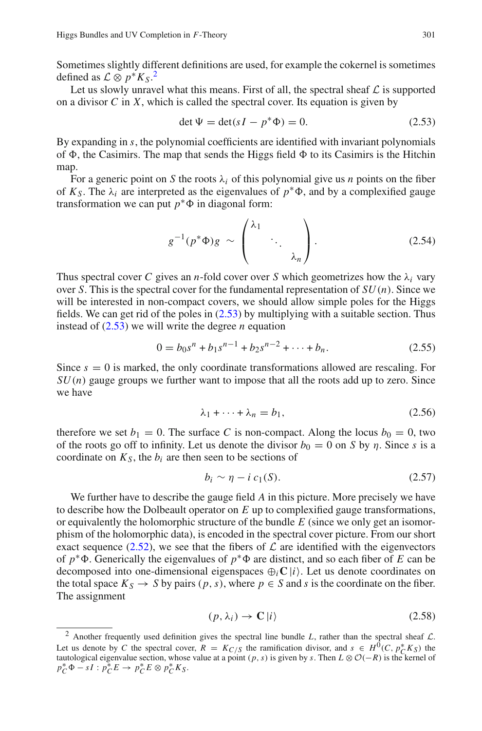Sometimes slightly different definitions are used, for example the cokernel is sometimes defined as  $\mathcal{L} \otimes p^* K_S$ <sup>[2](#page-14-0)</sup>

Let us slowly unravel what this means. First of all, the spectral sheaf  $\mathcal L$  is supported on a divisor *C* in *X*, which is called the spectral cover. Its equation is given by

$$
\det \Psi = \det(sI - p^*\Phi) = 0. \tag{2.53}
$$

<span id="page-14-1"></span>By expanding in *s*, the polynomial coefficients are identified with invariant polynomials of  $\Phi$ , the Casimirs. The map that sends the Higgs field  $\Phi$  to its Casimirs is the Hitchin map.

For a generic point on *S* the roots  $\lambda_i$  of this polynomial give us *n* points on the fiber of  $K_S$ . The  $\lambda_i$  are interpreted as the eigenvalues of  $p^*\Phi$ , and by a complexified gauge transformation we can put  $p^* \Phi$  in diagonal form:

$$
g^{-1}(p^*\Phi)g \sim \begin{pmatrix} \lambda_1 & & \\ & \ddots & \\ & & \lambda_n \end{pmatrix} . \tag{2.54}
$$

Thus spectral cover *C* gives an *n*-fold cover over *S* which geometrizes how the  $\lambda_i$  vary over *S*. This is the spectral cover for the fundamental representation of  $SU(n)$ . Since we will be interested in non-compact covers, we should allow simple poles for the Higgs fields. We can get rid of the poles in [\(2.53\)](#page-14-1) by multiplying with a suitable section. Thus instead of  $(2.53)$  we will write the degree *n* equation

$$
0 = b_0 s^n + b_1 s^{n-1} + b_2 s^{n-2} + \dots + b_n.
$$
 (2.55)

Since  $s = 0$  is marked, the only coordinate transformations allowed are rescaling. For *SU*(*n*) gauge groups we further want to impose that all the roots add up to zero. Since we have

$$
\lambda_1 + \dots + \lambda_n = b_1,\tag{2.56}
$$

therefore we set  $b_1 = 0$ . The surface C is non-compact. Along the locus  $b_0 = 0$ , two of the roots go off to infinity. Let us denote the divisor  $b_0 = 0$  on *S* by *n*. Since *s* is a coordinate on  $K_S$ , the  $b_i$  are then seen to be sections of

$$
b_i \sim \eta - i c_1(S). \tag{2.57}
$$

We further have to describe the gauge field *A* in this picture. More precisely we have to describe how the Dolbeault operator on *E* up to complexified gauge transformations, or equivalently the holomorphic structure of the bundle *E* (since we only get an isomorphism of the holomorphic data), is encoded in the spectral cover picture. From our short exact sequence [\(2.52\)](#page-13-1), we see that the fibers of  $\mathcal L$  are identified with the eigenvectors of  $p^*\Phi$ . Generically the eigenvalues of  $p^*\Phi$  are distinct, and so each fiber of *E* can be decomposed into one-dimensional eigenspaces  $\oplus_i C_i$  |*i*). Let us denote coordinates on the total space  $K_S \to S$  by pairs  $(p, s)$ , where  $p \in S$  and *s* is the coordinate on the fiber. The assignment

$$
(p, \lambda_i) \to \mathbf{C} \, |i\rangle \tag{2.58}
$$

<span id="page-14-0"></span><sup>2</sup> Another frequently used definition gives the spectral line bundle *<sup>L</sup>*, rather than the spectral sheaf *<sup>L</sup>*. Let us denote by *C* the spectral cover,  $R = K_{C/S}$  the ramification divisor, and  $s \in H^0(C, p_C^* K_S)$  the tautological eigenvalue section, whose value at a point  $(p, s)$  is given by *s*. Then  $L \otimes \mathcal{O}(-R)$  is the kernel of  $p_C^* \Phi - sI : p_C^* E \to p_C^* E \otimes p_C^* K_S.$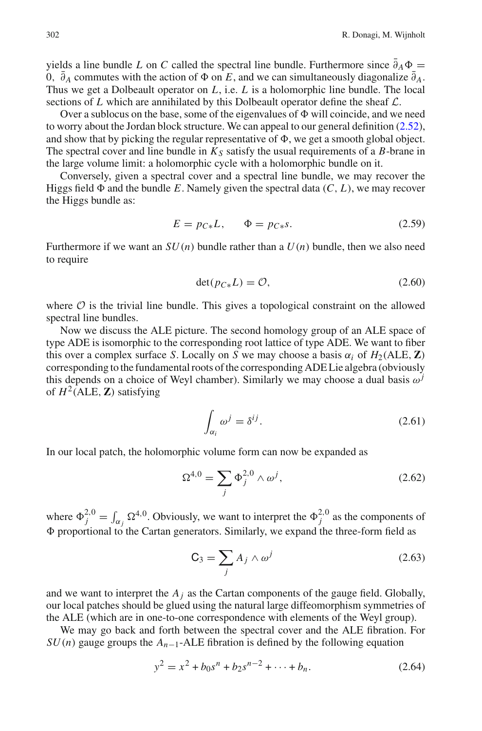yields a line bundle *L* on *C* called the spectral line bundle. Furthermore since  $\bar{\partial}_A \Phi =$ 0,  $\bar{\partial}_A$  commutes with the action of  $\Phi$  on *E*, and we can simultaneously diagonalize  $\bar{\partial}_A$ . Thus we get a Dolbeault operator on *L*, i.e. *L* is a holomorphic line bundle. The local sections of *L* which are annihilated by this Dolbeault operator define the sheaf *L*.

Over a sublocus on the base, some of the eigenvalues of  $\Phi$  will coincide, and we need to worry about the Jordan block structure. We can appeal to our general definition [\(2.52\)](#page-13-1), and show that by picking the regular representative of  $\Phi$ , we get a smooth global object. The spectral cover and line bundle in  $K<sub>S</sub>$  satisfy the usual requirements of a *B*-brane in the large volume limit: a holomorphic cycle with a holomorphic bundle on it.

Conversely, given a spectral cover and a spectral line bundle, we may recover the Higgs field  $\Phi$  and the bundle *E*. Namely given the spectral data  $(C, L)$ , we may recover the Higgs bundle as:

$$
E = p_{C*}L, \qquad \Phi = p_{C*}s. \tag{2.59}
$$

Furthermore if we want an *SU*(*n*) bundle rather than a *U*(*n*) bundle, then we also need to require

$$
\det(p_{C*}L) = \mathcal{O},\tag{2.60}
$$

where  $\mathcal O$  is the trivial line bundle. This gives a topological constraint on the allowed spectral line bundles.

Now we discuss the ALE picture. The second homology group of an ALE space of type ADE is isomorphic to the corresponding root lattice of type ADE. We want to fiber this over a complex surface *S*. Locally on *S* we may choose a basis  $\alpha_i$  of  $H_2(ALE, \mathbb{Z})$ corresponding to the fundamental roots of the corresponding ADE Lie algebra (obviously this depends on a choice of Weyl chamber). Similarly we may choose a dual basis  $\omega^j$ of  $H^2$ (ALE, **Z**) satisfying

$$
\int_{\alpha_i} \omega^j = \delta^{ij}.\tag{2.61}
$$

In our local patch, the holomorphic volume form can now be expanded as

$$
\Omega^{4,0} = \sum_{j} \Phi_j^{2,0} \wedge \omega^j, \qquad (2.62)
$$

where  $\Phi_j^{2,0} = \int_{\alpha_j} \Omega^{4,0}$ . Obviously, we want to interpret the  $\Phi_j^{2,0}$  as the components of proportional to the Cartan generators. Similarly, we expand the three-form field as

$$
\mathsf{C}_3 = \sum_j A_j \wedge \omega^j \tag{2.63}
$$

and we want to interpret the  $A_j$  as the Cartan components of the gauge field. Globally, our local patches should be glued using the natural large diffeomorphism symmetries of the ALE (which are in one-to-one correspondence with elements of the Weyl group).

<span id="page-15-0"></span>We may go back and forth between the spectral cover and the ALE fibration. For  $SU(n)$  gauge groups the  $A_{n-1}$ -ALE fibration is defined by the following equation

$$
y^2 = x^2 + b_0 s^n + b_2 s^{n-2} + \dots + b_n.
$$
 (2.64)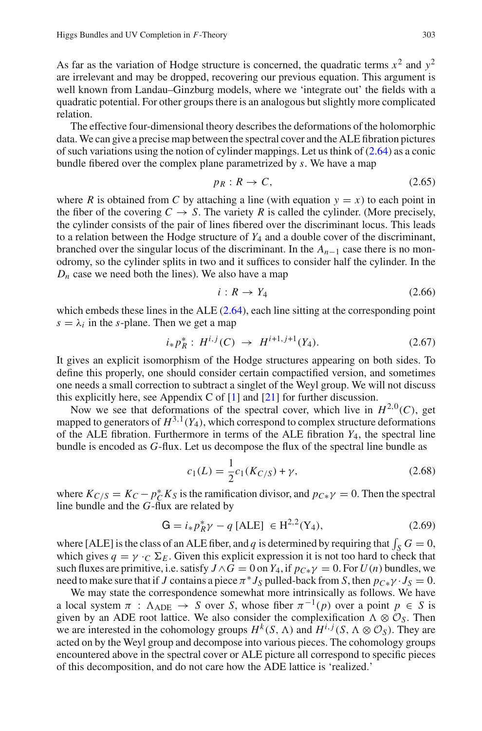As far as the variation of Hodge structure is concerned, the quadratic terms  $x^2$  and  $y^2$ are irrelevant and may be dropped, recovering our previous equation. This argument is well known from Landau–Ginzburg models, where we 'integrate out' the fields with a quadratic potential. For other groups there is an analogous but slightly more complicated relation.

The effective four-dimensional theory describes the deformations of the holomorphic data. We can give a precise map between the spectral cover and the ALE fibration pictures of such variations using the notion of cylinder mappings. Let us think of [\(2.64\)](#page-15-0) as a conic bundle fibered over the complex plane parametrized by *s*. We have a map

$$
p_R: R \to C,\tag{2.65}
$$

where *R* is obtained from *C* by attaching a line (with equation  $y = x$ ) to each point in the fiber of the covering  $C \rightarrow S$ . The variety *R* is called the cylinder. (More precisely, the cylinder consists of the pair of lines fibered over the discriminant locus. This leads to a relation between the Hodge structure of *Y*<sup>4</sup> and a double cover of the discriminant, branched over the singular locus of the discriminant. In the  $A_{n-1}$  case there is no monodromy, so the cylinder splits in two and it suffices to consider half the cylinder. In the  $D_n$  case we need both the lines). We also have a map

$$
i: R \to Y_4 \tag{2.66}
$$

which embeds these lines in the ALE  $(2.64)$ , each line sitting at the corresponding point  $s = \lambda_i$  in the *s*-plane. Then we get a map

$$
i_* p_R^* : H^{i,j}(C) \to H^{i+1,j+1}(Y_4). \tag{2.67}
$$

It gives an explicit isomorphism of the Hodge structures appearing on both sides. To define this properly, one should consider certain compactified version, and sometimes one needs a small correction to subtract a singlet of the Weyl group. We will not discuss this explicitly here, see Appendix C of  $[1]$  and  $[21]$  for further discussion.

Now we see that deformations of the spectral cover, which live in  $H^{2,0}(C)$ , get mapped to generators of  $H^{3,1}(Y_4)$ , which correspond to complex structure deformations of the ALE fibration. Furthermore in terms of the ALE fibration  $Y_4$ , the spectral line bundle is encoded as *G*-flux. Let us decompose the flux of the spectral line bundle as

$$
c_1(L) = \frac{1}{2}c_1(K_{C/S}) + \gamma,
$$
\n(2.68)

where  $K_{C/S} = K_C - p_C^* K_S$  is the ramification divisor, and  $p_{C*}\gamma = 0$ . Then the spectral line bundle and the *G*-flux are related by

$$
G = i_{*} p_{R}^{*} \gamma - q \text{ [ALE]} \in H^{2,2}(Y_{4}), \tag{2.69}
$$

where [ALE] is the class of an ALE fiber, and *q* is determined by requiring that  $\int_S G = 0$ , which gives  $q = \gamma \cdot_C \Sigma_E$ . Given this explicit expression it is not too hard to check that such fluxes are primitive, i.e. satisfy  $J \wedge G = 0$  on  $Y_4$ , if  $p_{C*Y} = 0$ . For  $U(n)$  bundles, we need to make sure that if *J* contains a piece  $\pi^* J_S$  pulled-back from *S*, then  $p_{C*Y} \cdot J_S = 0$ .

We may state the correspondence somewhat more intrinsically as follows. We have a local system  $\pi$ :  $\Lambda_{ADE}$  → *S* over *S*, whose fiber  $\pi^{-1}(p)$  over a point  $p \in S$  is given by an ADE root lattice. We also consider the complexification  $\Lambda \otimes \mathcal{O}_S$ . Then we are interested in the cohomology groups  $H^k(S, \Lambda)$  and  $H^{i,j}(S, \Lambda \otimes \mathcal{O}_S)$ . They are acted on by the Weyl group and decompose into various pieces. The cohomology groups encountered above in the spectral cover or ALE picture all correspond to specific pieces of this decomposition, and do not care how the ADE lattice is 'realized.'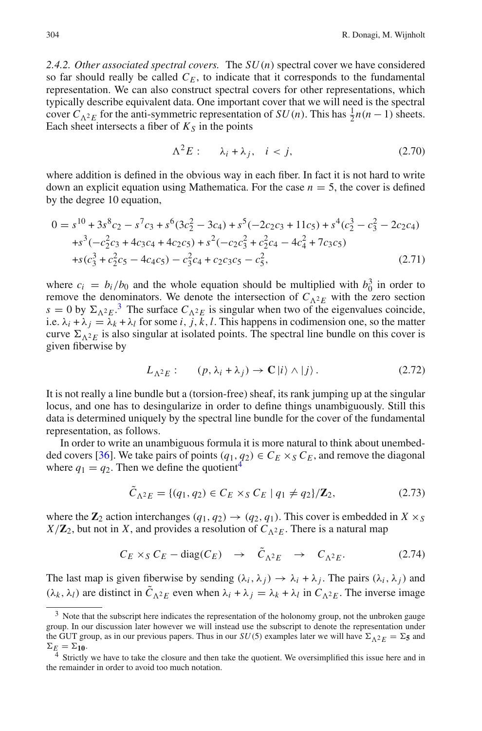<span id="page-17-0"></span>*2.4.2. Other associated spectral covers.* The *SU*(*n*) spectral cover we have considered so far should really be called  $C_E$ , to indicate that it corresponds to the fundamental representation. We can also construct spectral covers for other representations, which typically describe equivalent data. One important cover that we will need is the spectral cover  $C_{\Lambda^2 E}$  for the anti-symmetric representation of *SU*(*n*). This has  $\frac{1}{2}n(n-1)$  sheets. Each sheet intersects a fiber of  $K<sub>S</sub>$  in the points

$$
\Lambda^2 E: \qquad \lambda_i + \lambda_j, \quad i < j,\tag{2.70}
$$

where addition is defined in the obvious way in each fiber. In fact it is not hard to write down an explicit equation using Mathematica. For the case  $n = 5$ , the cover is defined by the degree 10 equation,

$$
0 = s10 + 3s8c2 - s7c3 + s6(3c22 - 3c4) + s5(-2c2c3 + 11c5) + s4(c23 - c32 - 2c2c4)+s3(-c22c3 + 4c3c4 + 4c2c5) + s2(-c2c32 + c22c4 - 4c42 + 7c3c5)+s(c33 + c22c5 - 4c4c5) - c32c4 + c2c3c5 - c52, (2.71)
$$

where  $c_i = b_i/b_0$  and the whole equation should be multiplied with  $b_0^3$  in order to remove the denominators. We denote the intersection of  $C_{\Lambda^2 E}$  with the zero section  $s = 0$  by  $\Sigma_{\Lambda^2 E}$ .<sup>[3](#page-17-1)</sup> The surface  $C_{\Lambda^2 E}$  is singular when two of the eigenvalues coincide, i.e.  $\lambda_i + \lambda_j = \lambda_k + \lambda_l$  for some *i*, *j*, *k*, *l*. This happens in codimension one, so the matter curve  $\Sigma_{\Lambda^2 E}$  is also singular at isolated points. The spectral line bundle on this cover is given fiberwise by

$$
L_{\Lambda^2 E}: \quad (p, \lambda_i + \lambda_j) \to \mathbf{C} \, |i\rangle \wedge |j\rangle. \tag{2.72}
$$

It is not really a line bundle but a (torsion-free) sheaf, its rank jumping up at the singular locus, and one has to desingularize in order to define things unambiguously. Still this data is determined uniquely by the spectral line bundle for the cover of the fundamental representation, as follows.

In order to write an unambiguous formula it is more natural to think about unembed-ded covers [\[36\]](#page-40-15). We take pairs of points  $(q_1, q_2) \in C_E \times_S C_E$ , and remove the diagonal where  $q_1 = q_2$ . Then we define the quotient<sup>[4](#page-17-2)</sup>

$$
\tilde{C}_{\Lambda^2 E} = \{ (q_1, q_2) \in C_E \times_S C_E \mid q_1 \neq q_2 \} / \mathbb{Z}_2, \tag{2.73}
$$

where the  $\mathbb{Z}_2$  action interchanges  $(q_1, q_2) \rightarrow (q_2, q_1)$ . This cover is embedded in  $X \times_S$  $X/\mathbb{Z}_2$ , but not in *X*, and provides a resolution of  $C_{\Lambda^2 E}$ . There is a natural map

$$
C_E \times_S C_E - \text{diag}(C_E) \rightarrow \tilde{C}_{\Lambda^2 E} \rightarrow C_{\Lambda^2 E}.
$$
 (2.74)

The last map is given fiberwise by sending  $(\lambda_i, \lambda_j) \rightarrow \lambda_i + \lambda_j$ . The pairs  $(\lambda_i, \lambda_j)$  and  $(\lambda_k, \lambda_l)$  are distinct in  $\tilde{C}_{\Lambda^2 E}$  even when  $\lambda_i + \lambda_j = \lambda_k + \lambda_l$  in  $C_{\Lambda^2 E}$ . The inverse image

<span id="page-17-1"></span><sup>&</sup>lt;sup>3</sup> Note that the subscript here indicates the representation of the holonomy group, not the unbroken gauge group. In our discussion later however we will instead use the subscript to denote the representation under the GUT group, as in our previous papers. Thus in our *SU*(5) examples later we will have  $\Sigma_{\Lambda^2 E} = \Sigma_5$  and  $\Sigma_E = \Sigma_{10}$ .

<span id="page-17-2"></span><sup>&</sup>lt;sup>4</sup> Strictly we have to take the closure and then take the quotient. We oversimplified this issue here and in the remainder in order to avoid too much notation.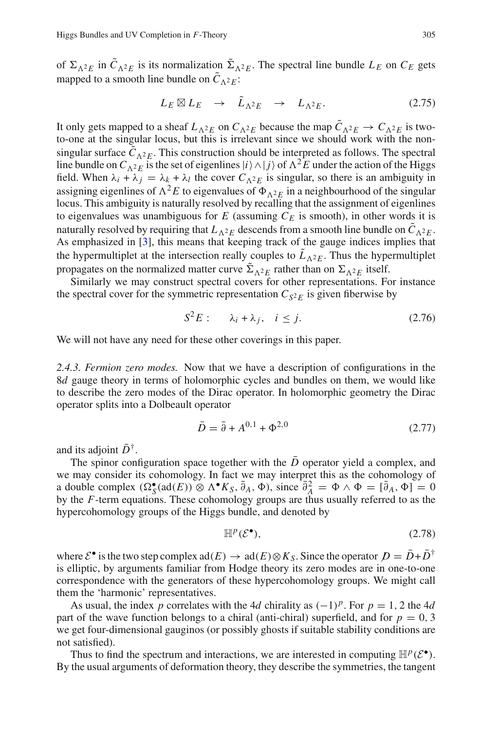of  $\Sigma_{\Lambda^2 E}$  in  $\tilde{C}_{\Lambda^2 E}$  is its normalization  $\tilde{\Sigma}_{\Lambda^2 E}$ . The spectral line bundle  $L_E$  on  $C_E$  gets mapped to a smooth line bundle on  $\tilde{C}_{\Lambda^2 E}$ :

$$
L_E \boxtimes L_E \rightarrow \tilde{L}_{\Lambda^2 E} \rightarrow L_{\Lambda^2 E}.
$$
 (2.75)

It only gets mapped to a sheaf  $L_{\Lambda^2 E}$  on  $C_{\Lambda^2 E}$  because the map  $\tilde{C}_{\Lambda^2 E} \to C_{\Lambda^2 E}$  is twoto-one at the singular locus, but this is irrelevant since we should work with the nonsingular surface  $\tilde{C}_{\Lambda^2 E}$ . This construction should be interpreted as follows. The spectral line bundle on  $C_{\Lambda^2 E}$  is the set of eigenlines  $|i\rangle \wedge |j\rangle$  of  $\Lambda^2 E$  under the action of the Higgs field. When  $\lambda_i + \lambda_j = \lambda_k + \lambda_l$  the cover  $C_{\Lambda^2 E}$  is singular, so there is an ambiguity in assigning eigenlines of  $\Lambda^2 E$  to eigenvalues of  $\Phi_{\Lambda^2 F}$  in a neighbourhood of the singular locus. This ambiguity is naturally resolved by recalling that the assignment of eigenlines to eigenvalues was unambiguous for  $E$  (assuming  $C_E$  is smooth), in other words it is naturally resolved by requiring that  $L_{\Lambda^2 E}$  descends from a smooth line bundle on  $\tilde{C}_{\Lambda^2 E}$ . As emphasized in [\[3\]](#page-39-1), this means that keeping track of the gauge indices implies that the hypermultiplet at the intersection really couples to  $\tilde{L}_{\Lambda^2 E}$ . Thus the hypermultiplet propagates on the normalized matter curve  $\sum_{\Delta^2 F}$  rather than on  $\sum_{\Delta^2 F}$  itself.

Similarly we may construct spectral covers for other representations. For instance the spectral cover for the symmetric representation  $C_{S^2E}$  is given fiberwise by

$$
S^2 E: \qquad \lambda_i + \lambda_j, \quad i \le j. \tag{2.76}
$$

We will not have any need for these other coverings in this paper.

<span id="page-18-0"></span>*2.4.3. Fermion zero modes.* Now that we have a description of configurations in the 8*d* gauge theory in terms of holomorphic cycles and bundles on them, we would like to describe the zero modes of the Dirac operator. In holomorphic geometry the Dirac operator splits into a Dolbeault operator

$$
\bar{D} = \bar{\partial} + A^{0,1} + \Phi^{2,0} \tag{2.77}
$$

and its adjoint  $D^{\dagger}$ .

The spinor configuration space together with the *D* operator yield a complex, and we may consider its cohomology. In fact we may interpret this as the cohomology of a double complex  $(\Omega_S^{\bullet}(\text{ad}(E)) \otimes \Lambda^{\bullet} K_S, \bar{\partial}_A, \Phi)$ , since  $\bar{\partial}_A^2 = \Phi \wedge \Phi = [\bar{\partial}_A, \Phi] = 0$ by the *F*-term equations. These cohomology groups are thus usually referred to as the hypercohomology groups of the Higgs bundle, and denoted by

$$
\mathbb{H}^p(\mathcal{E}^\bullet),\tag{2.78}
$$

where  $\mathcal{E}^{\bullet}$  is the two step complex  $\text{ad}(E) \to \text{ad}(E) \otimes K_S$ . Since the operator  $D = \bar{D} + \bar{D}^{\dagger}$ is elliptic, by arguments familiar from Hodge theory its zero modes are in one-to-one correspondence with the generators of these hypercohomology groups. We might call them the 'harmonic' representatives.

As usual, the index *p* correlates with the 4*d* chirality as  $(-1)^p$ . For  $p = 1, 2$  the 4*d* part of the wave function belongs to a chiral (anti-chiral) superfield, and for  $p = 0, 3$ we get four-dimensional gauginos (or possibly ghosts if suitable stability conditions are not satisfied).

Thus to find the spectrum and interactions, we are interested in computing  $\mathbb{H}^p(\mathcal{E}^{\bullet})$ . By the usual arguments of deformation theory, they describe the symmetries, the tangent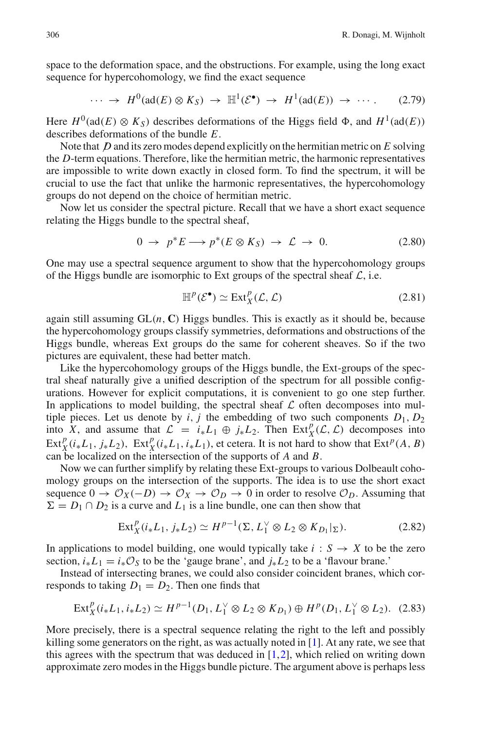space to the deformation space, and the obstructions. For example, using the long exact sequence for hypercohomology, we find the exact sequence

$$
\cdots \to H^0(\text{ad}(E) \otimes K_S) \to \mathbb{H}^1(\mathcal{E}^{\bullet}) \to H^1(\text{ad}(E)) \to \cdots. \tag{2.79}
$$

Here  $H^0(\text{ad}(E) \otimes K_S)$  describes deformations of the Higgs field  $\Phi$ , and  $H^1(\text{ad}(E))$ describes deformations of the bundle *E*.

Note that *D* and its zero modes depend explicitly on the hermitian metric on *E* solving the *D*-term equations. Therefore, like the hermitian metric, the harmonic representatives are impossible to write down exactly in closed form. To find the spectrum, it will be crucial to use the fact that unlike the harmonic representatives, the hypercohomology groups do not depend on the choice of hermitian metric.

Now let us consider the spectral picture. Recall that we have a short exact sequence relating the Higgs bundle to the spectral sheaf,

$$
0 \to p^*E \longrightarrow p^*(E \otimes K_S) \to \mathcal{L} \to 0. \tag{2.80}
$$

One may use a spectral sequence argument to show that the hypercohomology groups of the Higgs bundle are isomorphic to Ext groups of the spectral sheaf *L*, i.e.

$$
\mathbb{H}^p(\mathcal{E}^{\bullet}) \simeq \text{Ext}^p_X(\mathcal{L}, \mathcal{L})
$$
\n(2.81)

again still assuming  $GL(n, \mathbb{C})$  Higgs bundles. This is exactly as it should be, because the hypercohomology groups classify symmetries, deformations and obstructions of the Higgs bundle, whereas Ext groups do the same for coherent sheaves. So if the two pictures are equivalent, these had better match.

Like the hypercohomology groups of the Higgs bundle, the Ext-groups of the spectral sheaf naturally give a unified description of the spectrum for all possible configurations. However for explicit computations, it is convenient to go one step further. In applications to model building, the spectral sheaf *L* often decomposes into multiple pieces. Let us denote by  $i$ ,  $j$  the embedding of two such components  $D_1$ ,  $D_2$ into *X*, and assume that  $\mathcal{L} = i_*L_1 \oplus j_*L_2$ . Then  $\text{Ext}^p_X(\mathcal{L}, \mathcal{L})$  decomposes into Ext<sup>p</sup><sub>*X*</sub>(*i*<sub>∗</sub>*L*<sub>1</sub>, *j*<sub>∗</sub>*L*<sub>2</sub>), Ext<sub>*X*</sub><sup>*Y*</sup>(*i*<sub>∗</sub>*L*<sub>1</sub>, *i*<sub>∗</sub>*L*<sub>1</sub>), et cetera. It is not hard to show that Ext<sup>*p*</sup>(*A*, *B*) can be localized on the intersection of the supports of *A* and *B*.

Now we can further simplify by relating these Ext-groups to various Dolbeault cohomology groups on the intersection of the supports. The idea is to use the short exact sequence  $0 \to \mathcal{O}_X(-D) \to \mathcal{O}_X \to \mathcal{O}_D \to 0$  in order to resolve  $\mathcal{O}_D$ . Assuming that  $\Sigma = D_1 \cap D_2$  is a curve and  $L_1$  is a line bundle, one can then show that

$$
\text{Ext}^p_X(i_*L_1, j_*L_2) \simeq H^{p-1}(\Sigma, L_1^{\vee} \otimes L_2 \otimes K_{D_1}|_{\Sigma}).\tag{2.82}
$$

In applications to model building, one would typically take  $i : S \rightarrow X$  to be the zero section,  $i_*L_1 = i_*\mathcal{O}_S$  to be the 'gauge brane', and  $j_*L_2$  to be a 'flavour brane.'

Instead of intersecting branes, we could also consider coincident branes, which corresponds to taking  $D_1 = D_2$ . Then one finds that

$$
\text{Ext}^p_X(i_*L_1, i_*L_2) \simeq H^{p-1}(D_1, L_1^{\vee} \otimes L_2 \otimes K_{D_1}) \oplus H^p(D_1, L_1^{\vee} \otimes L_2). \tag{2.83}
$$

More precisely, there is a spectral sequence relating the right to the left and possibly killing some generators on the right, as was actually noted in  $[1]$  $[1]$ . At any rate, we see that this agrees with the spectrum that was deduced in  $[1,2]$  $[1,2]$ , which relied on writing down approximate zero modes in the Higgs bundle picture. The argument above is perhaps less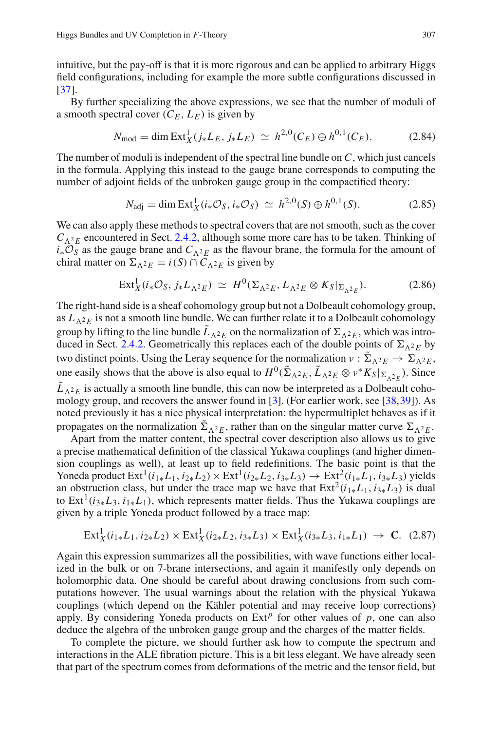intuitive, but the pay-off is that it is more rigorous and can be applied to arbitrary Higgs field configurations, including for example the more subtle configurations discussed in [\[37\]](#page-40-16).

By further specializing the above expressions, we see that the number of moduli of a smooth spectral cover  $(C_E, L_E)$  is given by

$$
N_{\text{mod}} = \dim \text{Ext}^1_X(j_* L_E, j_* L_E) \, \simeq \, h^{2,0}(C_E) \oplus h^{0,1}(C_E). \tag{2.84}
$$

The number of moduli is independent of the spectral line bundle on *C*, which just cancels in the formula. Applying this instead to the gauge brane corresponds to computing the number of adjoint fields of the unbroken gauge group in the compactified theory:

$$
N_{\text{adj}} = \dim \text{Ext}^1_X(i_* \mathcal{O}_S, i_* \mathcal{O}_S) \, \simeq \, h^{2,0}(S) \oplus h^{0,1}(S). \tag{2.85}
$$

We can also apply these methods to spectral covers that are not smooth, such as the cover  $C_{\Lambda^2 E}$  encountered in Sect. [2.4.2,](#page-17-0) although some more care has to be taken. Thinking of  $i_*\mathcal{O}_S$  as the gauge brane and  $C_{\Lambda^2E}$  as the flavour brane, the formula for the amount of chiral matter on  $\Sigma_{\Lambda^2 F} = i(S) \cap C_{\Lambda^2 F}$  is given by

$$
\operatorname{Ext}^1_X(i_*\mathcal{O}_S, j_*L_{\Lambda^2 E}) \simeq H^0(\Sigma_{\Lambda^2 E}, L_{\Lambda^2 E} \otimes K_S|_{\Sigma_{\Lambda^2 E}}). \tag{2.86}
$$

The right-hand side is a sheaf cohomology group but not a Dolbeault cohomology group, as  $L_{\Lambda^2 E}$  is not a smooth line bundle. We can further relate it to a Dolbeault cohomology group by lifting to the line bundle  $\tilde{L}_{\Lambda^2 F}$  on the normalization of  $\Sigma_{\Lambda^2 F}$ , which was intro-duced in Sect. [2.4.2.](#page-17-0) Geometrically this replaces each of the double points of  $\Sigma_{\Lambda^2 F}$  by two distinct points. Using the Leray sequence for the normalization  $v : \tilde{\Sigma}_{\Lambda^2 E} \to \Sigma_{\Lambda^2 E}$ , one easily shows that the above is also equal to  $H^0(\tilde{\Sigma}_{\Lambda^2 E}, \tilde{L}_{\Lambda^2 E} \otimes \nu^* K_S|_{\Sigma_{\Lambda^2 E}})$ . Since  $\tilde{L}_{\Lambda^2 E}$  is actually a smooth line bundle, this can now be interpreted as a Dolbeault cohomology group, and recovers the answer found in [\[3](#page-39-1)]. (For earlier work, see [\[38,](#page-40-17)[39\]](#page-40-18)). As noted previously it has a nice physical interpretation: the hypermultiplet behaves as if it propagates on the normalization  $\sum_{\Lambda^2 F}$ , rather than on the singular matter curve  $\sum_{\Lambda^2 F}$ .

Apart from the matter content, the spectral cover description also allows us to give a precise mathematical definition of the classical Yukawa couplings (and higher dimension couplings as well), at least up to field redefinitions. The basic point is that the Yoneda product Ext<sup>1</sup>( $i_{1*}L_1$ ,  $i_{2*}L_2$ ) × Ext<sup>1</sup>( $i_{2*}L_2$ ,  $i_{3*}L_3$ ) → Ext<sup>2</sup>( $i_{1*}L_1$ ,  $i_{3*}L_3$ ) yields an obstruction class, but under the trace map we have that  $Ext^2(i_{1*}L_1, i_{3*}L_3)$  is dual to Ext<sup>1</sup>( $i_{3*}L_3$ ,  $i_{1*}L_1$ ), which represents matter fields. Thus the Yukawa couplings are given by a triple Yoneda product followed by a trace map:

$$
\operatorname{Ext}^1_X(i_{1*}L_1, i_{2*}L_2) \times \operatorname{Ext}^1_X(i_{2*}L_2, i_{3*}L_3) \times \operatorname{Ext}^1_X(i_{3*}L_3, i_{1*}L_1) \rightarrow \mathbf{C}. \tag{2.87}
$$

Again this expression summarizes all the possibilities, with wave functions either localized in the bulk or on 7-brane intersections, and again it manifestly only depends on holomorphic data. One should be careful about drawing conclusions from such computations however. The usual warnings about the relation with the physical Yukawa couplings (which depend on the Kähler potential and may receive loop corrections) apply. By considering Yoneda products on  $Ext^p$  for other values of  $p$ , one can also deduce the algebra of the unbroken gauge group and the charges of the matter fields.

To complete the picture, we should further ask how to compute the spectrum and interactions in the ALE fibration picture. This is a bit less elegant. We have already seen that part of the spectrum comes from deformations of the metric and the tensor field, but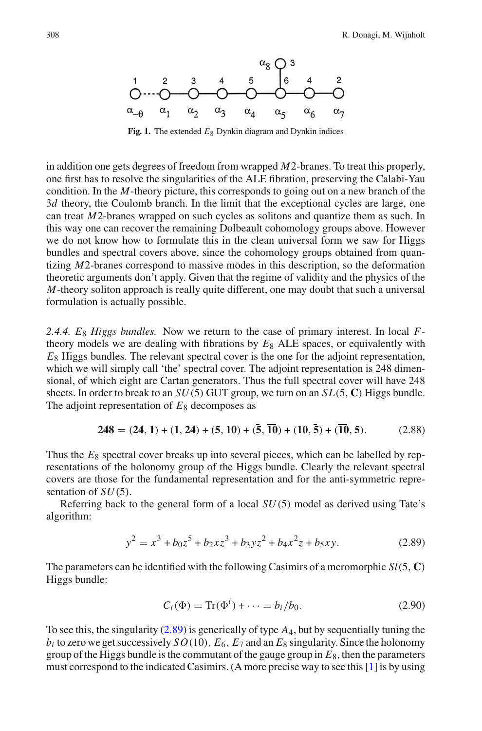

**Fig. 1.** The extended  $E_8$  Dynkin diagram and Dynkin indices

in addition one gets degrees of freedom from wrapped *M*2-branes. To treat this properly, one first has to resolve the singularities of the ALE fibration, preserving the Calabi-Yau condition. In the *M*-theory picture, this corresponds to going out on a new branch of the 3*d* theory, the Coulomb branch. In the limit that the exceptional cycles are large, one can treat *M*2-branes wrapped on such cycles as solitons and quantize them as such. In this way one can recover the remaining Dolbeault cohomology groups above. However we do not know how to formulate this in the clean universal form we saw for Higgs bundles and spectral covers above, since the cohomology groups obtained from quantizing *M*2-branes correspond to massive modes in this description, so the deformation theoretic arguments don't apply. Given that the regime of validity and the physics of the *M*-theory soliton approach is really quite different, one may doubt that such a universal formulation is actually possible.

<span id="page-21-0"></span>*2.4.4. E*<sup>8</sup> *Higgs bundles.* Now we return to the case of primary interest. In local *F*theory models we are dealing with fibrations by  $E_8$  ALE spaces, or equivalently with *E*<sup>8</sup> Higgs bundles. The relevant spectral cover is the one for the adjoint representation, which we will simply call 'the' spectral cover. The adjoint representation is 248 dimensional, of which eight are Cartan generators. Thus the full spectral cover will have 248 sheets. In order to break to an  $SU(5)$  GUT group, we turn on an  $SL(5, \mathbb{C})$  Higgs bundle. The adjoint representation of *E*<sup>8</sup> decomposes as

$$
248 = (24, 1) + (1, 24) + (5, 10) + (5, \overline{10}) + (10, 5) + (\overline{10}, 5). \tag{2.88}
$$

Thus the  $E_8$  spectral cover breaks up into several pieces, which can be labelled by representations of the holonomy group of the Higgs bundle. Clearly the relevant spectral covers are those for the fundamental representation and for the anti-symmetric representation of *SU*(5).

Referring back to the general form of a local *SU*(5) model as derived using Tate's algorithm:

$$
y^2 = x^3 + b_0 z^5 + b_2 x z^3 + b_3 y z^2 + b_4 x^2 z + b_5 x y.
$$
 (2.89)

<span id="page-21-1"></span>The parameters can be identified with the following Casimirs of a meromorphic *Sl*(5, **C**) Higgs bundle:

$$
C_i(\Phi) = \text{Tr}(\Phi^i) + \dots = b_i/b_0.
$$
 (2.90)

To see this, the singularity [\(2.89\)](#page-21-1) is generically of type *A*4, but by sequentially tuning the  $b_i$  to zero we get successively  $SO(10)$ ,  $E_6$ ,  $E_7$  and an  $E_8$  singularity. Since the holonomy group of the Higgs bundle is the commutant of the gauge group in  $E_8$ , then the parameters must correspond to the indicated Casimirs. (A more precise way to see this [\[1](#page-39-0)] is by using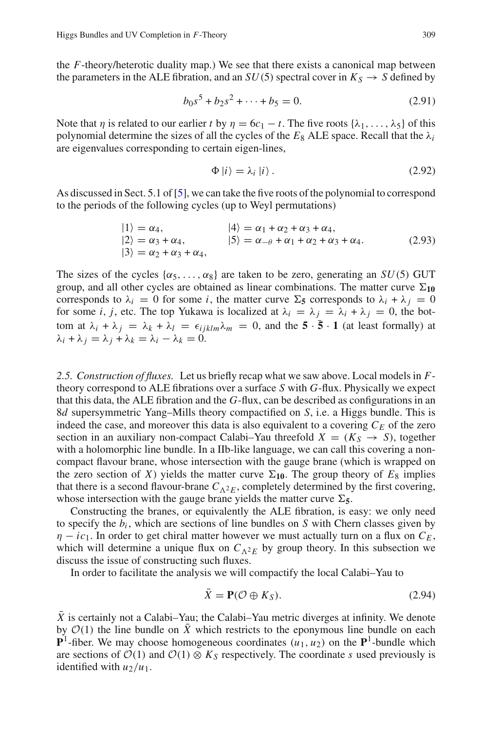the *F*-theory/heterotic duality map.) We see that there exists a canonical map between the parameters in the ALE fibration, and an  $SU(5)$  spectral cover in  $K_S \rightarrow S$  defined by

$$
b_0s^5 + b_2s^2 + \dots + b_5 = 0. \tag{2.91}
$$

Note that  $\eta$  is related to our earlier *t* by  $\eta = 6c_1 - t$ . The five roots { $\lambda_1, \ldots, \lambda_5$ } of this polynomial determine the sizes of all the cycles of the  $E_8$  ALE space. Recall that the  $\lambda_i$ are eigenvalues corresponding to certain eigen-lines,

$$
\Phi|i\rangle = \lambda_i|i\rangle. \tag{2.92}
$$

As discussed in Sect. 5.1 of [\[5\]](#page-39-3), we can take the five roots of the polynomial to correspond to the periods of the following cycles (up to Weyl permutations)

$$
|1\rangle = \alpha_4, \qquad |4\rangle = \alpha_1 + \alpha_2 + \alpha_3 + \alpha_4, |2\rangle = \alpha_3 + \alpha_4, \qquad |5\rangle = \alpha_{-\theta} + \alpha_1 + \alpha_2 + \alpha_3 + \alpha_4.
$$
 (2.93)  

$$
|3\rangle = \alpha_2 + \alpha_3 + \alpha_4,
$$

The sizes of the cycles  $\{\alpha_5, \ldots, \alpha_8\}$  are taken to be zero, generating an *SU*(5) GUT group, and all other cycles are obtained as linear combinations. The matter curve  $\Sigma_{10}$ corresponds to  $\lambda_i = 0$  for some *i*, the matter curve  $\Sigma_5$  corresponds to  $\lambda_i + \lambda_j = 0$ for some *i*, *j*, etc. The top Yukawa is localized at  $\lambda_i = \lambda_j = \lambda_i + \lambda_j = 0$ , the bottom at  $\lambda_i + \lambda_j = \lambda_k + \lambda_l = \epsilon_{ijklm}\lambda_m = 0$ , and the  $\overline{5} \cdot \overline{5} \cdot \overline{1}$  (at least formally) at  $λ<sub>i</sub> + λ<sub>j</sub> = λ<sub>j</sub> + λ<sub>k</sub> = λ<sub>i</sub> - λ<sub>k</sub> = 0.$ 

<span id="page-22-0"></span>*2.5. Construction of fluxes.* Let us briefly recap what we saw above. Local models in *F*theory correspond to ALE fibrations over a surface *S* with *G*-flux. Physically we expect that this data, the ALE fibration and the *G*-flux, can be described as configurations in an 8*d* supersymmetric Yang–Mills theory compactified on *S*, i.e. a Higgs bundle. This is indeed the case, and moreover this data is also equivalent to a covering  $C_E$  of the zero section in an auxiliary non-compact Calabi–Yau threefold  $X = (K<sub>S</sub> \rightarrow S)$ , together with a holomorphic line bundle. In a IIb-like language, we can call this covering a noncompact flavour brane, whose intersection with the gauge brane (which is wrapped on the zero section of *X*) yields the matter curve  $\Sigma_{10}$ . The group theory of  $E_8$  implies that there is a second flavour-brane  $C_{\Lambda^2 E}$ , completely determined by the first covering, whose intersection with the gauge brane yields the matter curve  $\Sigma$ <sub>5</sub>.

Constructing the branes, or equivalently the ALE fibration, is easy: we only need to specify the  $b_i$ , which are sections of line bundles on  $S$  with Chern classes given by  $\eta - i c_1$ . In order to get chiral matter however we must actually turn on a flux on  $C_E$ , which will determine a unique flux on  $C_{\Lambda^2 E}$  by group theory. In this subsection we discuss the issue of constructing such fluxes.

In order to facilitate the analysis we will compactify the local Calabi–Yau to

$$
\bar{X} = \mathbf{P}(\mathcal{O} \oplus K_S). \tag{2.94}
$$

*X* is certainly not a Calabi–Yau; the Calabi–Yau metric diverges at infinity. We denote by  $\mathcal{O}(1)$  the line bundle on  $\overline{X}$  which restricts to the eponymous line bundle on each  ${\bf P}^1$ -fiber. We may choose homogeneous coordinates  $(u_1, u_2)$  on the  ${\bf P}^1$ -bundle which are sections of  $\mathcal{O}(1)$  and  $\mathcal{O}(1) \otimes K_S$  respectively. The coordinate *s* used previously is identified with  $u_2/u_1$ .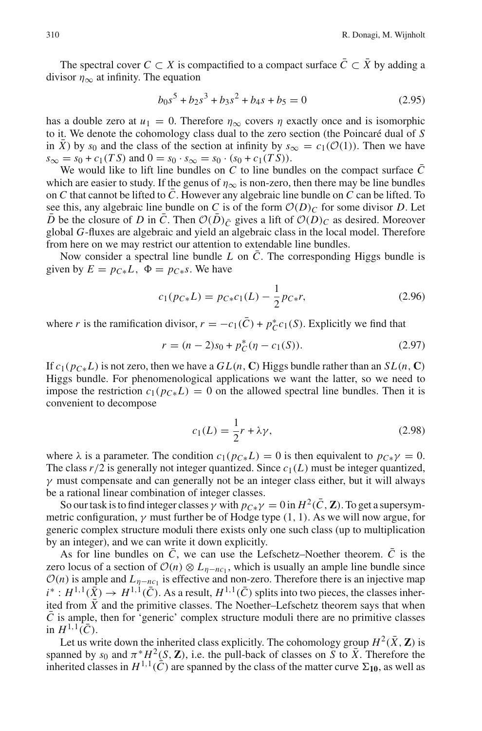The spectral cover  $C \subset X$  is compactified to a compact surface  $\overline{C} \subset \overline{X}$  by adding a divisor  $\eta_{\infty}$  at infinity. The equation

$$
b_0s^5 + b_2s^3 + b_3s^2 + b_4s + b_5 = 0
$$
\n(2.95)

has a double zero at  $u_1 = 0$ . Therefore  $\eta_{\infty}$  covers  $\eta$  exactly once and is isomorphic to it. We denote the cohomology class dual to the zero section (the Poincaré dual of *S* in *X*) by *s*<sub>0</sub> and the class of the section at infinity by  $s_{\infty} = c_1(\mathcal{O}(1))$ . Then we have  $s_{\infty} = s_0 + c_1(TS)$  and  $0 = s_0 \cdot s_{\infty} = s_0 \cdot (s_0 + c_1(TS)).$ 

We would like to lift line bundles on  $C$  to line bundles on the compact surface  $C$ which are easier to study. If the genus of  $\eta_{\infty}$  is non-zero, then there may be line bundles on  $C$  that cannot be lifted to  $C$ . However any algebraic line bundle on  $C$  can be lifted. To see this, any algebraic line bundle on *C* is of the form  $O(D)_C$  for some divisor *D*. Let  $\overline{D}$  be the closure of *D* in  $\overline{C}$ . Then  $\mathcal{O}(\overline{D})_{\overline{C}}$  gives a lift of  $\mathcal{O}(D)_C$  as desired. Moreover global *G*-fluxes are algebraic and yield an algebraic class in the local model. Therefore from here on we may restrict our attention to extendable line bundles.

Now consider a spectral line bundle *L* on  $\overline{C}$ . The corresponding Higgs bundle is given by  $E = p_{C*}L$ ,  $\Phi = p_{C*}s$ . We have

$$
c_1(p_{C*}L) = p_{C*}c_1(L) - \frac{1}{2}p_{C*}r,
$$
\n(2.96)

where *r* is the ramification divisor,  $r = -c_1(\bar{C}) + p^*_{\bar{C}}c_1(S)$ . Explicitly we find that

$$
r = (n-2)s_0 + p_C^*(\eta - c_1(S)).
$$
\n(2.97)

If  $c_1(p_{C*}L)$  is not zero, then we have a  $GL(n, \mathbb{C})$  Higgs bundle rather than an  $SL(n, \mathbb{C})$ Higgs bundle. For phenomenological applications we want the latter, so we need to impose the restriction  $c_1(p_{C*}L) = 0$  on the allowed spectral line bundles. Then it is convenient to decompose

$$
c_1(L) = \frac{1}{2}r + \lambda \gamma, \qquad (2.98)
$$

where  $\lambda$  is a parameter. The condition  $c_1(p_{C*}L) = 0$  is then equivalent to  $p_{C*}\gamma = 0$ . The class  $r/2$  is generally not integer quantized. Since  $c_1(L)$  must be integer quantized,  $\gamma$  must compensate and can generally not be an integer class either, but it will always be a rational linear combination of integer classes.

So our task is to find integer classes  $\gamma$  with  $p_{C*}\gamma = 0$  in  $H^2(\bar{C}, \mathbf{Z})$ . To get a supersymmetric configuration,  $\gamma$  must further be of Hodge type (1, 1). As we will now argue, for generic complex structure moduli there exists only one such class (up to multiplication by an integer), and we can write it down explicitly.

As for line bundles on  $\overline{C}$ , we can use the Lefschetz–Noether theorem.  $\overline{C}$  is the zero locus of a section of  $O(n) \otimes L_{n-nc_1}$ , which is usually an ample line bundle since  $O(n)$  is ample and  $L_{n-nc_1}$  is effective and non-zero. Therefore there is an injective map  $i^* : H^{1,1}(\overline{X}) \to H^{1,1}(\overline{C})$ . As a result,  $H^{1,1}(\overline{C})$  splits into two pieces, the classes inherited from  $\overline{X}$  and the primitive classes. The Noether–Lefschetz theorem says that when  $\overline{C}$  is ample, then for 'generic' complex structure moduli there are no primitive classes in  $H^{1,1}(\bar{C})$ .

Let us write down the inherited class explicitly. The cohomology group  $H^2(\bar{X}, \mathbf{Z})$  is spanned by  $s_0$  and  $\pi^* H^2(S, \mathbb{Z})$ , i.e. the pull-back of classes on *S* to  $\overline{X}$ . Therefore the inherited classes in  $H^{1,1}(\tilde{C})$  are spanned by the class of the matter curve  $\Sigma_{10}$ , as well as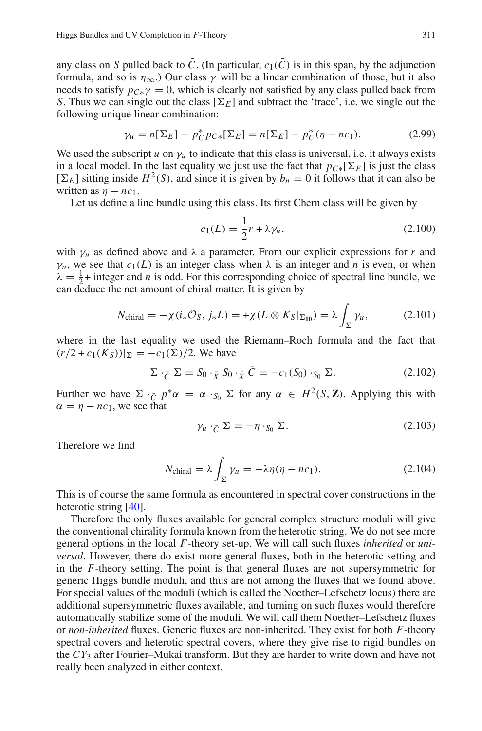any class on *S* pulled back to  $\overline{C}$ . (In particular,  $c_1(\overline{C})$  is in this span, by the adjunction formula, and so is  $\eta_{\infty}$ .) Our class  $\gamma$  will be a linear combination of those, but it also needs to satisfy  $p_{C*Y} = 0$ , which is clearly not satisfied by any class pulled back from *S*. Thus we can single out the class  $[\Sigma_F]$  and subtract the 'trace', i.e. we single out the following unique linear combination:

$$
\gamma_u = n[\Sigma_E] - p_C^* p_{C*}[\Sigma_E] = n[\Sigma_E] - p_C^* (\eta - nc_1). \tag{2.99}
$$

We used the subscript *u* on  $\gamma$ <sub>*u*</sub> to indicate that this class is universal, i.e. it always exists in a local model. In the last equality we just use the fact that  $p_{C*}[\Sigma_E]$  is just the class  $[\Sigma_E]$  sitting inside  $H^2(S)$ , and since it is given by  $b_n = 0$  it follows that it can also be written as  $\eta - nc_1$ .

Let us define a line bundle using this class. Its first Chern class will be given by

$$
c_1(L) = \frac{1}{2}r + \lambda \gamma_u, \tag{2.100}
$$

with  $\gamma_u$  as defined above and  $\lambda$  a parameter. From our explicit expressions for *r* and  $\gamma_u$ , we see that  $c_1(L)$  is an integer class when  $\lambda$  is an integer and *n* is even, or when  $\lambda = \frac{1}{2}$ + integer and *n* is odd. For this corresponding choice of spectral line bundle, we can deduce the net amount of chiral matter. It is given by

$$
N_{\text{chiral}} = -\chi(i_* \mathcal{O}_S, j_* L) = +\chi(L \otimes K_S |_{\Sigma_{10}}) = \lambda \int_{\Sigma} \gamma_u, \tag{2.101}
$$

where in the last equality we used the Riemann–Roch formula and the fact that  $(r/2 + c_1(K_S))|_{\Sigma} = -c_1(\Sigma)/2$ . We have

$$
\Sigma \cdot_{\bar{C}} \Sigma = S_0 \cdot_{\bar{X}} S_0 \cdot_{\bar{X}} \bar{C} = -c_1(S_0) \cdot_{S_0} \Sigma.
$$
 (2.102)

Further we have  $\Sigma \cdot_{\bar{C}} p^* \alpha = \alpha \cdot_{S_0} \Sigma$  for any  $\alpha \in H^2(S, \mathbb{Z})$ . Applying this with  $\alpha = \eta - nc_1$ , we see that

$$
\gamma_u \cdot_{\bar{C}} \Sigma = -\eta \cdot_{S_0} \Sigma. \tag{2.103}
$$

Therefore we find

$$
N_{\text{chiral}} = \lambda \int_{\Sigma} \gamma_u = -\lambda \eta (\eta - nc_1). \tag{2.104}
$$

This is of course the same formula as encountered in spectral cover constructions in the heterotic string [\[40](#page-40-19)].

Therefore the only fluxes available for general complex structure moduli will give the conventional chirality formula known from the heterotic string. We do not see more general options in the local *F*-theory set-up. We will call such fluxes *inherited* or *universal*. However, there do exist more general fluxes, both in the heterotic setting and in the *F*-theory setting. The point is that general fluxes are not supersymmetric for generic Higgs bundle moduli, and thus are not among the fluxes that we found above. For special values of the moduli (which is called the Noether–Lefschetz locus) there are additional supersymmetric fluxes available, and turning on such fluxes would therefore automatically stabilize some of the moduli. We will call them Noether–Lefschetz fluxes or *non-inherited* fluxes. Generic fluxes are non-inherited. They exist for both *F*-theory spectral covers and heterotic spectral covers, where they give rise to rigid bundles on the *CY*<sup>3</sup> after Fourier–Mukai transform. But they are harder to write down and have not really been analyzed in either context.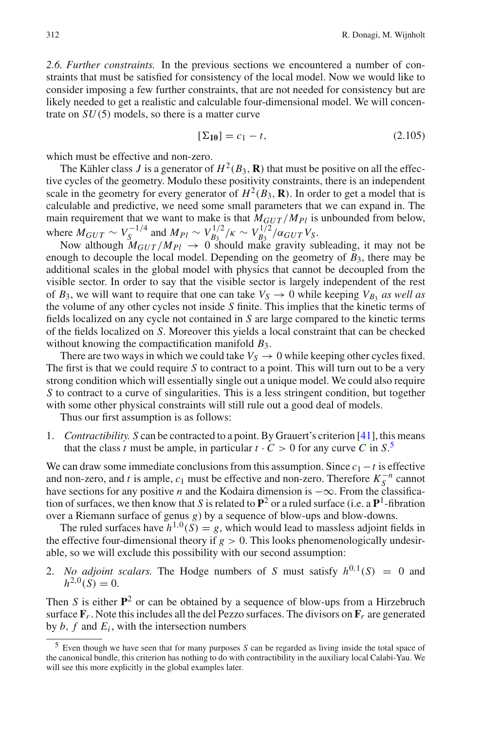<span id="page-25-0"></span>*2.6. Further constraints.* In the previous sections we encountered a number of constraints that must be satisfied for consistency of the local model. Now we would like to consider imposing a few further constraints, that are not needed for consistency but are likely needed to get a realistic and calculable four-dimensional model. We will concentrate on *SU*(5) models, so there is a matter curve

$$
[\Sigma_{10}] = c_1 - t,\tag{2.105}
$$

which must be effective and non-zero.

The Kähler class *J* is a generator of  $H^2(B_3, \mathbf{R})$  that must be positive on all the effective cycles of the geometry. Modulo these positivity constraints, there is an independent scale in the geometry for every generator of  $H^2(B_3, \mathbf{R})$ . In order to get a model that is calculable and predictive, we need some small parameters that we can expand in. The main requirement that we want to make is that  $M_{GUT}/M_{Pl}$  is unbounded from below, where  $M_{GUT} \sim V_S^{-1/4}$  and  $M_{Pl} \sim V_{B_3}^{1/2}/\kappa \sim V_{B_3}^{1/2}/\alpha_{GUT} V_S$ .

Now although  $M_{GUT}/M_{Pl} \rightarrow 0$  should make gravity subleading, it may not be enough to decouple the local model. Depending on the geometry of  $B_3$ , there may be additional scales in the global model with physics that cannot be decoupled from the visible sector. In order to say that the visible sector is largely independent of the rest of  $B_3$ , we will want to require that one can take  $V_S \rightarrow 0$  while keeping  $V_{B_3}$  *as well as* the volume of any other cycles not inside *S* finite. This implies that the kinetic terms of fields localized on any cycle not contained in *S* are large compared to the kinetic terms of the fields localized on *S*. Moreover this yields a local constraint that can be checked without knowing the compactification manifold  $B_3$ .

There are two ways in which we could take  $V_S \rightarrow 0$  while keeping other cycles fixed. The first is that we could require *S* to contract to a point. This will turn out to be a very strong condition which will essentially single out a unique model. We could also require *S* to contract to a curve of singularities. This is a less stringent condition, but together with some other physical constraints will still rule out a good deal of models.

Thus our first assumption is as follows:

1. *Contractibility. S* can be contracted to a point. By Grauert's criterion [\[41\]](#page-40-20), this means that the class *t* must be ample, in particular  $t \cdot C > 0$  for any curve *C* in  $S^5$  $S^5$ .

We can draw some immediate conclusions from this assumption. Since  $c_1 - t$  is effective and non-zero, and *t* is ample,  $c_1$  must be effective and non-zero. Therefore  $K_S^{-n}$  cannot have sections for any positive *n* and the Kodaira dimension is −∞. From the classification of surfaces, we then know that *S* is related to  $\mathbf{P}^2$  or a ruled surface (i.e. a  $\mathbf{P}^1$ -fibration over a Riemann surface of genus *g*) by a sequence of blow-ups and blow-downs.

The ruled surfaces have  $h^{1,0}(S) = g$ , which would lead to massless adjoint fields in the effective four-dimensional theory if  $g > 0$ . This looks phenomenologically undesirable, so we will exclude this possibility with our second assumption:

2. *No adjoint scalars*. The Hodge numbers of *S* must satisfy  $h^{0,1}(S) = 0$  and  $h^{2,0}(S) = 0.$ 

Then *S* is either  $P^2$  or can be obtained by a sequence of blow-ups from a Hirzebruch surface  $\mathbf{F}_r$ . Note this includes all the del Pezzo surfaces. The divisors on  $\mathbf{F}_r$  are generated by  $b$ ,  $f$  and  $E_i$ , with the intersection numbers

<span id="page-25-1"></span><sup>5</sup> Even though we have seen that for many purposes *S* can be regarded as living inside the total space of the canonical bundle, this criterion has nothing to do with contractibility in the auxiliary local Calabi-Yau. We will see this more explicitly in the global examples later.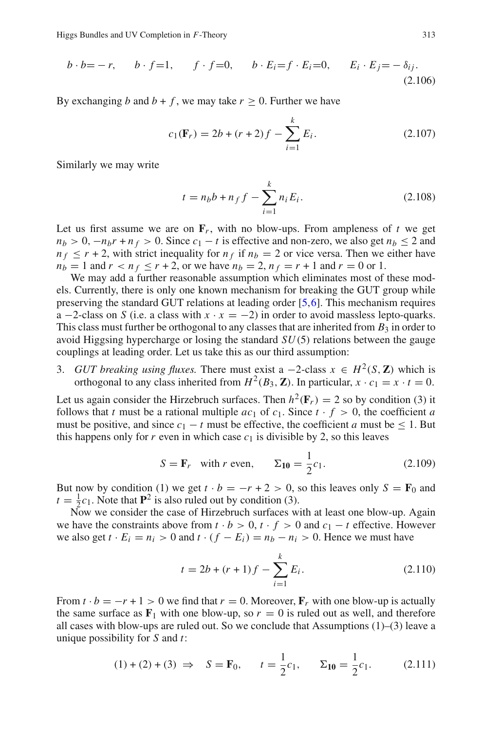$$
b \cdot b = -r
$$
,  $b \cdot f = 1$ ,  $f \cdot f = 0$ ,  $b \cdot E_i = f \cdot E_i = 0$ ,  $E_i \cdot E_j = -\delta_{ij}$ . (2.106)

By exchanging *b* and  $b + f$ , we may take  $r > 0$ . Further we have

$$
c_1(\mathbf{F}_r) = 2b + (r+2)f - \sum_{i=1}^{k} E_i.
$$
 (2.107)

Similarly we may write

$$
t = n_b b + n_f f - \sum_{i=1}^{k} n_i E_i.
$$
 (2.108)

Let us first assume we are on  $\mathbf{F}_r$ , with no blow-ups. From ampleness of *t* we get  $n_b > 0$ ,  $-n_b r + n_f > 0$ . Since  $c_1 - t$  is effective and non-zero, we also get  $n_b < 2$  and  $n_f \le r + 2$ , with strict inequality for  $n_f$  if  $n_b = 2$  or vice versa. Then we either have  $n_b = 1$  and  $r < n_f \le r + 2$ , or we have  $n_b = 2$ ,  $n_f = r + 1$  and  $r = 0$  or 1.

We may add a further reasonable assumption which eliminates most of these models. Currently, there is only one known mechanism for breaking the GUT group while preserving the standard GUT relations at leading order [\[5](#page-39-3),[6\]](#page-39-8). This mechanism requires a  $-2$ -class on *S* (i.e. a class with  $x \cdot x = -2$ ) in order to avoid massless lepto-quarks. This class must further be orthogonal to any classes that are inherited from  $B_3$  in order to avoid Higgsing hypercharge or losing the standard *SU*(5) relations between the gauge couplings at leading order. Let us take this as our third assumption:

3. *GUT breaking using fluxes.* There must exist a  $-2$ -class  $x \in H^2(S, \mathbb{Z})$  which is orthogonal to any class inherited from  $H^2(B_3, \mathbb{Z})$ . In particular,  $x \cdot c_1 = x \cdot t = 0$ .

Let us again consider the Hirzebruch surfaces. Then  $h^2(\mathbf{F}_r) = 2$  so by condition (3) it follows that *t* must be a rational multiple  $ac_1$  of  $c_1$ . Since  $t \cdot f > 0$ , the coefficient *a* must be positive, and since  $c_1 - t$  must be effective, the coefficient *a* must be  $\leq 1$ . But this happens only for  $r$  even in which case  $c_1$  is divisible by 2, so this leaves

$$
S = \mathbf{F}_r
$$
 with *r* even,  $\Sigma_{10} = \frac{1}{2}c_1$ . (2.109)

But now by condition (1) we get  $t \cdot b = -r + 2 > 0$ , so this leaves only  $S = \mathbf{F}_0$  and  $t = \frac{1}{2}c_1$ . Note that **P**<sup>2</sup> is also ruled out by condition (3).

Now we consider the case of Hirzebruch surfaces with at least one blow-up. Again we have the constraints above from  $t \cdot b > 0$ ,  $t \cdot f > 0$  and  $c_1 - t$  effective. However we also get  $t \cdot E_i = n_i > 0$  and  $t \cdot (f - E_i) = n_b - n_i > 0$ . Hence we must have

$$
t = 2b + (r + 1)f - \sum_{i=1}^{k} E_i.
$$
 (2.110)

<span id="page-26-0"></span>From  $t \cdot b = -r + 1 > 0$  we find that  $r = 0$ . Moreover,  $\mathbf{F}_r$  with one blow-up is actually the same surface as  $\mathbf{F}_1$  with one blow-up, so  $r = 0$  is ruled out as well, and therefore all cases with blow-ups are ruled out. So we conclude that Assumptions  $(1)$ – $(3)$  leave a unique possibility for *S* and *t*:

$$
(1) + (2) + (3) \Rightarrow S = \mathbf{F}_0, \qquad t = \frac{1}{2}c_1, \qquad \Sigma_{10} = \frac{1}{2}c_1. \tag{2.111}
$$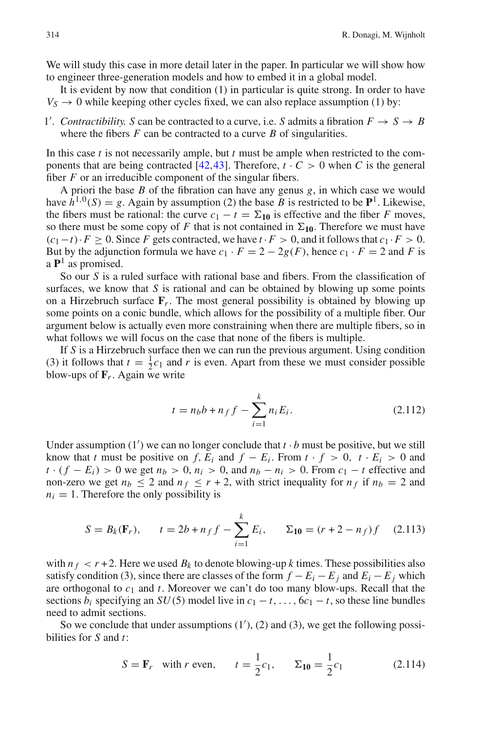We will study this case in more detail later in the paper. In particular we will show how to engineer three-generation models and how to embed it in a global model.

It is evident by now that condition (1) in particular is quite strong. In order to have  $V_s \rightarrow 0$  while keeping other cycles fixed, we can also replace assumption (1) by:

1'. *Contractibility.* S can be contracted to a curve, i.e. S admits a fibration  $F \rightarrow S \rightarrow B$ where the fibers  $F$  can be contracted to a curve  $B$  of singularities.

In this case *t* is not necessarily ample, but *t* must be ample when restricted to the com-ponents that are being contracted [\[42](#page-40-21),[43\]](#page-40-22). Therefore,  $t \cdot C > 0$  when *C* is the general fiber *F* or an irreducible component of the singular fibers.

A priori the base *B* of the fibration can have any genus *g*, in which case we would have  $h^{1,0}(S) = g$ . Again by assumption (2) the base *B* is restricted to be **P**<sup>1</sup>. Likewise, the fibers must be rational: the curve  $c_1 - t = \Sigma_{10}$  is effective and the fiber *F* moves, so there must be some copy of *F* that is not contained in  $\Sigma_{10}$ . Therefore we must have  $(c_1-t)\cdot F \geq 0$ . Since *F* gets contracted, we have  $t \cdot F > 0$ , and it follows that  $c_1 \cdot F > 0$ . But by the adjunction formula we have  $c_1 \cdot F = 2 - 2g(F)$ , hence  $c_1 \cdot F = 2$  and *F* is  $a \, \mathbf{P}^1$  as promised.

So our *S* is a ruled surface with rational base and fibers. From the classification of surfaces, we know that *S* is rational and can be obtained by blowing up some points on a Hirzebruch surface  $\mathbf{F}_r$ . The most general possibility is obtained by blowing up some points on a conic bundle, which allows for the possibility of a multiple fiber. Our argument below is actually even more constraining when there are multiple fibers, so in what follows we will focus on the case that none of the fibers is multiple.

If *S* is a Hirzebruch surface then we can run the previous argument. Using condition (3) it follows that  $t = \frac{1}{2}c_1$  and *r* is even. Apart from these we must consider possible blow-ups of  $\mathbf{F}_r$ . Again we write

$$
t = n_b b + n_f f - \sum_{i=1}^{k} n_i E_i.
$$
 (2.112)

Under assumption  $(1')$  we can no longer conclude that  $t \cdot b$  must be positive, but we still know that *t* must be positive on *f*,  $E_i$  and  $f - E_i$ . From  $t \cdot f > 0$ ,  $t \cdot E_i > 0$  and  $t \cdot (f - E_i) > 0$  we get  $n_b > 0$ ,  $n_i > 0$ , and  $n_b - n_i > 0$ . From  $c_1 - t$  effective and non-zero we get  $n_b \leq 2$  and  $n_f \leq r + 2$ , with strict inequality for  $n_f$  if  $n_b = 2$  and  $n_i = 1$ . Therefore the only possibility is

$$
S = B_k(\mathbf{F}_r), \qquad t = 2b + n_f f - \sum_{i=1}^k E_i, \qquad \Sigma_{10} = (r + 2 - n_f) f \quad (2.113)
$$

with  $n_f < r + 2$ . Here we used  $B_k$  to denote blowing-up k times. These possibilities also satisfy condition (3), since there are classes of the form  $f - E_i - E_j$  and  $E_i - E_j$  which are orthogonal to *c*<sup>1</sup> and *t*. Moreover we can't do too many blow-ups. Recall that the sections  $b_i$  specifying an *SU*(5) model live in  $c_1 - t$ , ...,  $6c_1 - t$ , so these line bundles need to admit sections.

<span id="page-27-0"></span>So we conclude that under assumptions  $(1')$ ,  $(2)$  and  $(3)$ , we get the following possibilities for *S* and *t*:

$$
S = \mathbf{F}_r
$$
 with *r* even,  $t = \frac{1}{2}c_1$ ,  $\Sigma_{10} = \frac{1}{2}c_1$  (2.114)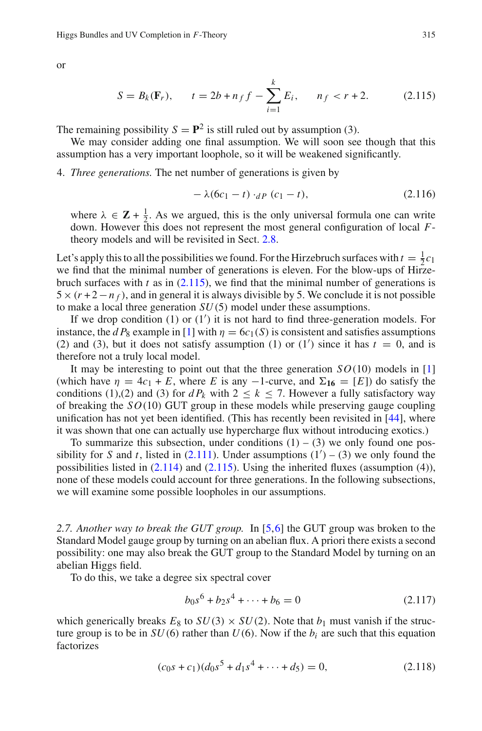<span id="page-28-1"></span>or

$$
S = B_k(\mathbf{F}_r), \qquad t = 2b + n_f f - \sum_{i=1}^k E_i, \qquad n_f < r + 2. \tag{2.115}
$$

The remaining possibility  $S = P^2$  is still ruled out by assumption (3).

We may consider adding one final assumption. We will soon see though that this assumption has a very important loophole, so it will be weakened significantly.

4. *Three generations.* The net number of generations is given by

$$
-\lambda(6c_1 - t) \cdot_{dP} (c_1 - t), \tag{2.116}
$$

where  $\lambda \in \mathbb{Z} + \frac{1}{2}$ . As we argued, this is the only universal formula one can write down. However this does not represent the most general configuration of local *F*theory models and will be revisited in Sect. [2.8.](#page-29-0)

Let's apply this to all the possibilities we found. For the Hirzebruch surfaces with  $t = \frac{1}{2}c_1$ we find that the minimal number of generations is eleven. For the blow-ups of Hirzebruch surfaces with  $t$  as in  $(2.115)$ , we find that the minimal number of generations is  $5 \times (r + 2 - n_f)$ , and in general it is always divisible by 5. We conclude it is not possible to make a local three generation *SU*(5) model under these assumptions.

If we drop condition (1) or (1') it is not hard to find three-generation models. For instance, the *dP*<sub>8</sub> example in [\[1\]](#page-39-0) with  $\eta = 6c_1(S)$  is consistent and satisfies assumptions (2) and (3), but it does not satisfy assumption (1) or (1') since it has  $t = 0$ , and is therefore not a truly local model.

It may be interesting to point out that the three generation  $SO(10)$  models in [\[1\]](#page-39-0) (which have  $\eta = 4c_1 + E$ , where *E* is any -1-curve, and  $\Sigma_{16} = [E]$ ) do satisfy the conditions (1),(2) and (3) for  $dP_k$  with  $2 \le k \le 7$ . However a fully satisfactory way of breaking the *SO*(10) GUT group in these models while preserving gauge coupling unification has not yet been identified. (This has recently been revisited in [\[44](#page-40-23)], where it was shown that one can actually use hypercharge flux without introducing exotics.)

To summarize this subsection, under conditions  $(1) - (3)$  we only found one possibility for *S* and *t*, listed in  $(2.111)$ . Under assumptions  $(1') - (3)$  we only found the possibilities listed in  $(2.114)$  and  $(2.115)$ . Using the inherited fluxes (assumption  $(4)$ ), none of these models could account for three generations. In the following subsections, we will examine some possible loopholes in our assumptions.

<span id="page-28-0"></span>*2.7. Another way to break the GUT group.* In [\[5,](#page-39-3)[6\]](#page-39-8) the GUT group was broken to the Standard Model gauge group by turning on an abelian flux. A priori there exists a second possibility: one may also break the GUT group to the Standard Model by turning on an abelian Higgs field.

To do this, we take a degree six spectral cover

$$
b_0 s^6 + b_2 s^4 + \dots + b_6 = 0 \tag{2.117}
$$

which generically breaks  $E_8$  to  $SU(3) \times SU(2)$ . Note that  $b_1$  must vanish if the structure group is to be in  $SU(6)$  rather than  $U(6)$ . Now if the  $b_i$  are such that this equation factorizes

$$
(c_0s + c_1)(d_0s^5 + d_1s^4 + \dots + d_5) = 0,
$$
\n(2.118)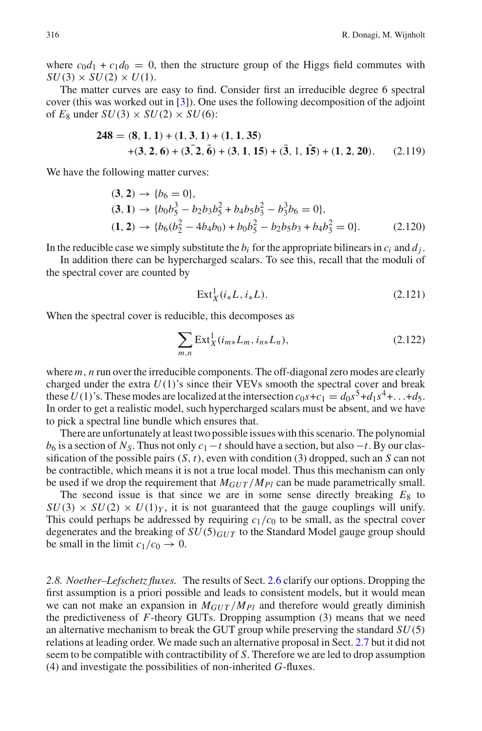where  $c_0d_1 + c_1d_0 = 0$ , then the structure group of the Higgs field commutes with  $SU(3) \times SU(2) \times U(1)$ .

The matter curves are easy to find. Consider first an irreducible degree 6 spectral cover (this was worked out in [\[3](#page-39-1)]). One uses the following decomposition of the adjoint of  $E_8$  under  $SU(3) \times SU(2) \times SU(6)$ :

$$
248 = (8, 1, 1) + (1, 3, 1) + (1, 1, 35) + (3, 2, 6) + (3, 2, 6) + (3, 1, 15) + (3, 1, 15) + (1, 2, 20).
$$
 (2.119)

We have the following matter curves:

$$
(3, 2) \rightarrow \{b_6 = 0\},(3, 1) \rightarrow \{b_0b_5^3 - b_2b_3b_5^2 + b_4b_5b_3^2 - b_3^3b_6 = 0\},(1, 2) \rightarrow \{b_6(b_2^2 - 4b_4b_0) + b_0b_5^2 - b_2b_5b_3 + b_4b_3^2 = 0\}.
$$
 (2.120)

In the reducible case we simply substitute the  $b_i$  for the appropriate bilinears in  $c_i$  and  $d_j$ .

In addition there can be hypercharged scalars. To see this, recall that the moduli of the spectral cover are counted by

$$
Ext_X^1(i_*L, i_*L). \tag{2.121}
$$

When the spectral cover is reducible, this decomposes as

$$
\sum_{m,n} \text{Ext}^1_X(i_{m*}L_m, i_{n*}L_n),\tag{2.122}
$$

where *m*, *n* run over the irreducible components. The off-diagonal zero modes are clearly charged under the extra  $U(1)$ 's since their VEVs smooth the spectral cover and break these  $U(1)$ 's. These modes are localized at the intersection  $c_0s+c_1 = d_0s^5+d_1s^4+\ldots+d_5$ . In order to get a realistic model, such hypercharged scalars must be absent, and we have to pick a spectral line bundle which ensures that.

There are unfortunately at least two possible issues with this scenario. The polynomial  $b_6$  is a section of  $N_s$ . Thus not only  $c_1 - t$  should have a section, but also  $-t$ . By our classification of the possible pairs (*S*, *t*), even with condition (3) dropped, such an *S* can not be contractible, which means it is not a true local model. Thus this mechanism can only be used if we drop the requirement that  $M_{GUT}/M_{Pl}$  can be made parametrically small.

The second issue is that since we are in some sense directly breaking  $E_8$  to  $SU(3) \times SU(2) \times U(1)_Y$ , it is not guaranteed that the gauge couplings will unify. This could perhaps be addressed by requiring  $c_1/c_0$  to be small, as the spectral cover degenerates and the breaking of *SU*(5)*GUT* to the Standard Model gauge group should be small in the limit  $c_1/c_0 \rightarrow 0$ .

<span id="page-29-0"></span>*2.8. Noether–Lefschetz fluxes.* The results of Sect. [2.6](#page-25-0) clarify our options. Dropping the first assumption is a priori possible and leads to consistent models, but it would mean we can not make an expansion in  $M_{GUT}/M_{Pl}$  and therefore would greatly diminish the predictiveness of *F*-theory GUTs. Dropping assumption (3) means that we need an alternative mechanism to break the GUT group while preserving the standard *SU*(5) relations at leading order. We made such an alternative proposal in Sect. [2.7](#page-28-0) but it did not seem to be compatible with contractibility of *S*. Therefore we are led to drop assumption (4) and investigate the possibilities of non-inherited *G*-fluxes.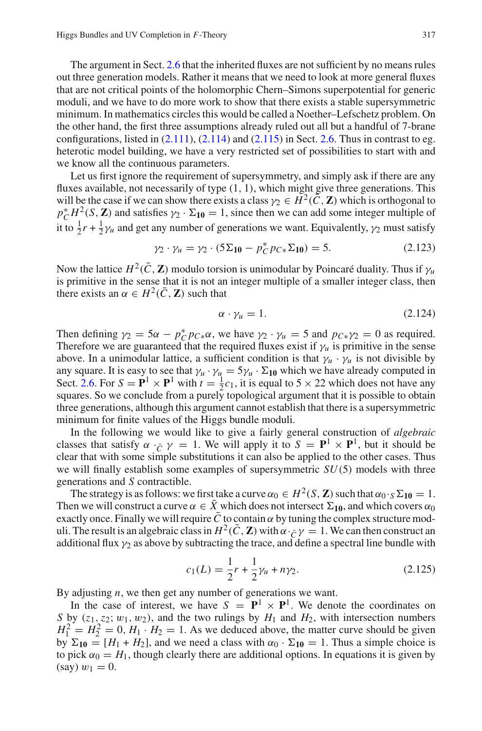The argument in Sect. [2.6](#page-25-0) that the inherited fluxes are not sufficient by no means rules out three generation models. Rather it means that we need to look at more general fluxes that are not critical points of the holomorphic Chern–Simons superpotential for generic moduli, and we have to do more work to show that there exists a stable supersymmetric minimum. In mathematics circles this would be called a Noether–Lefschetz problem. On the other hand, the first three assumptions already ruled out all but a handful of 7-brane configurations, listed in  $(2.111)$ ,  $(2.114)$  and  $(2.115)$  in Sect. [2.6.](#page-25-0) Thus in contrast to eg. heterotic model building, we have a very restricted set of possibilities to start with and we know all the continuous parameters.

Let us first ignore the requirement of supersymmetry, and simply ask if there are any fluxes available, not necessarily of type (1, 1), which might give three generations. This will be the case if we can show there exists a class  $\gamma_2 \in H^2(\bar{C}, \mathbb{Z})$  which is orthogonal to  $p_C^* H^2(S, \mathbf{Z})$  and satisfies  $\gamma_2 \cdot \Sigma_{10} = 1$ , since then we can add some integer multiple of it to  $\frac{1}{2}r + \frac{1}{2}\gamma_u$  and get any number of generations we want. Equivalently,  $\gamma_2$  must satisfy

$$
\gamma_2 \cdot \gamma_u = \gamma_2 \cdot (5\Sigma_{10} - p_C^* p_{C*} \Sigma_{10}) = 5. \tag{2.123}
$$

Now the lattice  $H^2(\bar{C}, \mathbf{Z})$  modulo torsion is unimodular by Poincaré duality. Thus if  $\gamma_u$ is primitive in the sense that it is not an integer multiple of a smaller integer class, then there exists an  $\alpha \in H^2(\overline{C}, \mathbf{Z})$  such that

$$
\alpha \cdot \gamma_u = 1. \tag{2.124}
$$

Then defining  $\gamma_2 = 5\alpha - p_C^* p_{C*} \alpha$ , we have  $\gamma_2 \cdot \gamma_u = 5$  and  $p_{C*} \gamma_2 = 0$  as required. Therefore we are guaranteed that the required fluxes exist if  $\gamma_u$  is primitive in the sense above. In a unimodular lattice, a sufficient condition is that  $\gamma_u \cdot \gamma_u$  is not divisible by any square. It is easy to see that  $\gamma_u \cdot \gamma_u = 5\gamma_u \cdot \Sigma_{10}$  which we have already computed in Sect. [2.6.](#page-25-0) For  $S = \mathbf{P}^1 \times \mathbf{P}^1$  with  $t = \frac{1}{2}c_1$ , it is equal to 5 × 22 which does not have any squares. So we conclude from a purely topological argument that it is possible to obtain three generations, although this argument cannot establish that there is a supersymmetric minimum for finite values of the Higgs bundle moduli.

In the following we would like to give a fairly general construction of *algebraic* classes that satisfy  $\alpha \cdot_{\bar{C}} \gamma = 1$ . We will apply it to  $S = \mathbf{P}^1 \times \mathbf{P}^1$ , but it should be clear that with some simple substitutions it can also be applied to the other cases. Thus we will finally establish some examples of supersymmetric *SU*(5) models with three generations and *S* contractible.

The strategy is as follows: we first take a curve  $\alpha_0 \in H^2(S, \mathbb{Z})$  such that  $\alpha_0 \cdot_S \Sigma_{10} = 1$ . Then we will construct a curve  $\alpha \in \overline{X}$  which does not intersect  $\Sigma_{10}$ , and which covers  $\alpha_0$ exactly once. Finally we will require  $\overline{C}$  to contain  $\alpha$  by tuning the complex structure moduli. The result is an algebraic class in  $H^2(\bar{C}, \mathbf{Z})$  with  $\alpha \cdot_{\bar{C}} \gamma = 1$ . We can then construct an additional flux  $\gamma_2$  as above by subtracting the trace, and define a spectral line bundle with

$$
c_1(L) = \frac{1}{2}r + \frac{1}{2}\gamma_u + n\gamma_2.
$$
 (2.125)

<span id="page-30-0"></span>By adjusting *n*, we then get any number of generations we want.

In the case of interest, we have  $S = P^1 \times P^1$ . We denote the coordinates on *S* by  $(z_1, z_2; w_1, w_2)$ , and the two rulings by  $H_1$  and  $H_2$ , with intersection numbers  $H_1^2 = H_2^2 = 0$ ,  $H_1 \cdot H_2 = 1$ . As we deduced above, the matter curve should be given by  $\Sigma_{10} = [H_1 + H_2]$ , and we need a class with  $\alpha_0 \cdot \Sigma_{10} = 1$ . Thus a simple choice is to pick  $\alpha_0 = H_1$ , though clearly there are additional options. In equations it is given by (say)  $w_1 = 0$ .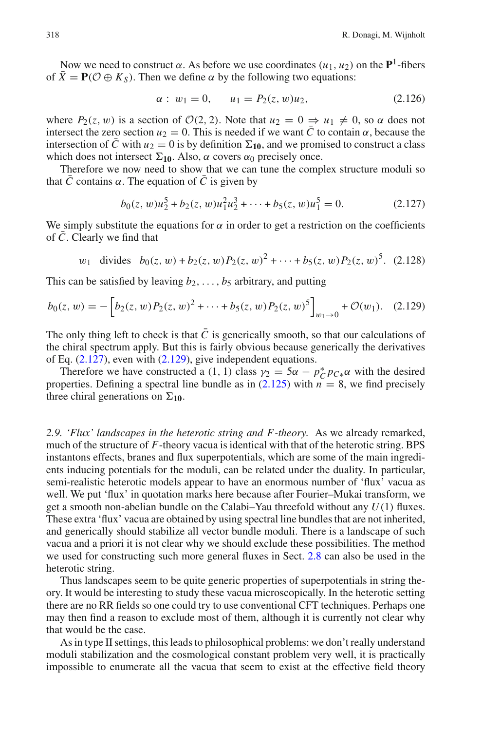Now we need to construct  $\alpha$ . As before we use coordinates  $(u_1, u_2)$  on the **P**<sup>1</sup>-fibers of  $\bar{X} = P(\mathcal{O} \oplus K_S)$ . Then we define  $\alpha$  by the following two equations:

$$
\alpha: w_1 = 0, \qquad u_1 = P_2(z, w)u_2,\tag{2.126}
$$

where  $P_2(z, w)$  is a section of  $\mathcal{O}(2, 2)$ . Note that  $u_2 = 0 \Rightarrow u_1 \neq 0$ , so  $\alpha$  does not intersect the zero section  $u_2 = 0$ . This is needed if we want  $\overline{C}$  to contain  $\alpha$ , because the intersection of  $\overline{C}$  with  $u_2 = 0$  is by definition  $\Sigma_{10}$ , and we promised to construct a class which does not intersect  $\Sigma_{10}$ . Also,  $\alpha$  covers  $\alpha_0$  precisely once.

Therefore we now need to show that we can tune the complex structure moduli so that  $\bar{C}$  contains  $\alpha$ . The equation of  $\bar{C}$  is given by

$$
b_0(z, w)u_2^5 + b_2(z, w)u_1^2u_2^3 + \dots + b_5(z, w)u_1^5 = 0.
$$
 (2.127)

<span id="page-31-1"></span>We simply substitute the equations for  $\alpha$  in order to get a restriction on the coefficients of  $\overline{C}$ . Clearly we find that

*w*<sub>1</sub> divides 
$$
b_0(z, w) + b_2(z, w)P_2(z, w)^2 + \cdots + b_5(z, w)P_2(z, w)^5
$$
. (2.128)

This can be satisfied by leaving  $b_2, \ldots, b_5$  arbitrary, and putting

<span id="page-31-2"></span>
$$
b_0(z, w) = -\left[b_2(z, w)P_2(z, w)^2 + \dots + b_5(z, w)P_2(z, w)^5\right]_{w_1 \to 0} + \mathcal{O}(w_1). \quad (2.129)
$$

The only thing left to check is that  $\overline{C}$  is generically smooth, so that our calculations of the chiral spectrum apply. But this is fairly obvious because generically the derivatives of Eq. [\(2.127\)](#page-31-1), even with [\(2.129\)](#page-31-2), give independent equations.

Therefore we have constructed a (1, 1) class  $\gamma_2 = 5\alpha - p_C^* p_{C*} \alpha$  with the desired properties. Defining a spectral line bundle as in  $(2.125)$  with  $n = 8$ , we find precisely three chiral generations on  $\Sigma_{10}$ .

<span id="page-31-0"></span>*2.9. 'Flux' landscapes in the heterotic string and F-theory.* As we already remarked, much of the structure of *F*-theory vacua is identical with that of the heterotic string. BPS instantons effects, branes and flux superpotentials, which are some of the main ingredients inducing potentials for the moduli, can be related under the duality. In particular, semi-realistic heterotic models appear to have an enormous number of 'flux' vacua as well. We put 'flux' in quotation marks here because after Fourier–Mukai transform, we get a smooth non-abelian bundle on the Calabi–Yau threefold without any *U*(1) fluxes. These extra 'flux' vacua are obtained by using spectral line bundles that are not inherited, and generically should stabilize all vector bundle moduli. There is a landscape of such vacua and a priori it is not clear why we should exclude these possibilities. The method we used for constructing such more general fluxes in Sect. [2.8](#page-29-0) can also be used in the heterotic string.

Thus landscapes seem to be quite generic properties of superpotentials in string theory. It would be interesting to study these vacua microscopically. In the heterotic setting there are no RR fields so one could try to use conventional CFT techniques. Perhaps one may then find a reason to exclude most of them, although it is currently not clear why that would be the case.

As in type II settings, this leads to philosophical problems: we don't really understand moduli stabilization and the cosmological constant problem very well, it is practically impossible to enumerate all the vacua that seem to exist at the effective field theory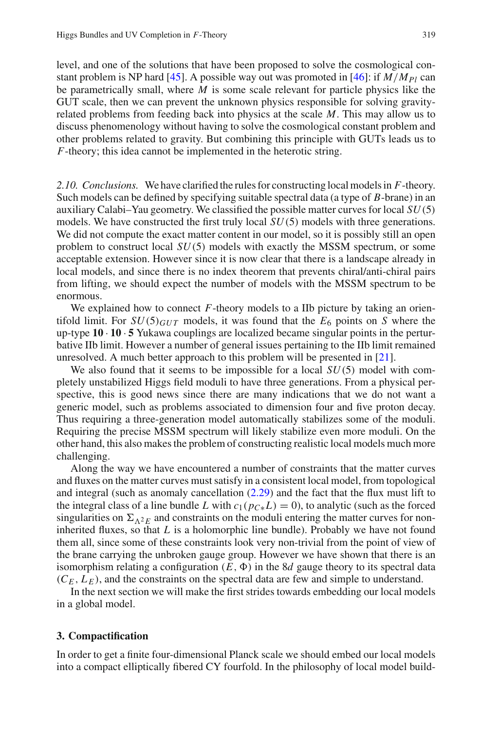level, and one of the solutions that have been proposed to solve the cosmological con-stant problem is NP hard [\[45](#page-40-24)]. A possible way out was promoted in [\[46](#page-40-25)]: if  $M/M_{Pl}$  can be parametrically small, where *M* is some scale relevant for particle physics like the GUT scale, then we can prevent the unknown physics responsible for solving gravityrelated problems from feeding back into physics at the scale *M*. This may allow us to discuss phenomenology without having to solve the cosmological constant problem and other problems related to gravity. But combining this principle with GUTs leads us to *F*-theory; this idea cannot be implemented in the heterotic string.

<span id="page-32-0"></span>*2.10. Conclusions.* We have clarified the rules for constructing local models in *F*-theory. Such models can be defined by specifying suitable spectral data (a type of *B*-brane) in an auxiliary Calabi–Yau geometry. We classified the possible matter curves for local *SU*(5) models. We have constructed the first truly local *SU*(5) models with three generations. We did not compute the exact matter content in our model, so it is possibly still an open problem to construct local *SU*(5) models with exactly the MSSM spectrum, or some acceptable extension. However since it is now clear that there is a landscape already in local models, and since there is no index theorem that prevents chiral/anti-chiral pairs from lifting, we should expect the number of models with the MSSM spectrum to be enormous.

We explained how to connect *F*-theory models to a IIb picture by taking an orientifold limit. For  $SU(5)_{GUT}$  models, it was found that the  $E_6$  points on *S* where the up-type  $10 \cdot 10 \cdot 5$  Yukawa couplings are localized became singular points in the perturbative IIb limit. However a number of general issues pertaining to the IIb limit remained unresolved. A much better approach to this problem will be presented in [\[21\]](#page-40-1).

We also found that it seems to be impossible for a local *SU*(5) model with completely unstabilized Higgs field moduli to have three generations. From a physical perspective, this is good news since there are many indications that we do not want a generic model, such as problems associated to dimension four and five proton decay. Thus requiring a three-generation model automatically stabilizes some of the moduli. Requiring the precise MSSM spectrum will likely stabilize even more moduli. On the other hand, this also makes the problem of constructing realistic local models much more challenging.

Along the way we have encountered a number of constraints that the matter curves and fluxes on the matter curves must satisfy in a consistent local model, from topological and integral (such as anomaly cancellation  $(2.29)$  and the fact that the flux must lift to the integral class of a line bundle *L* with  $c_1(p_{C*}L) = 0$ ), to analytic (such as the forced singularities on  $\Sigma_{\Lambda^2 F}$  and constraints on the moduli entering the matter curves for noninherited fluxes, so that  $L$  is a holomorphic line bundle). Probably we have not found them all, since some of these constraints look very non-trivial from the point of view of the brane carrying the unbroken gauge group. However we have shown that there is an isomorphism relating a configuration  $(E, \Phi)$  in the 8*d* gauge theory to its spectral data  $(C_E, L_E)$ , and the constraints on the spectral data are few and simple to understand.

In the next section we will make the first strides towards embedding our local models in a global model.

#### <span id="page-32-1"></span>**3. Compactification**

In order to get a finite four-dimensional Planck scale we should embed our local models into a compact elliptically fibered CY fourfold. In the philosophy of local model build-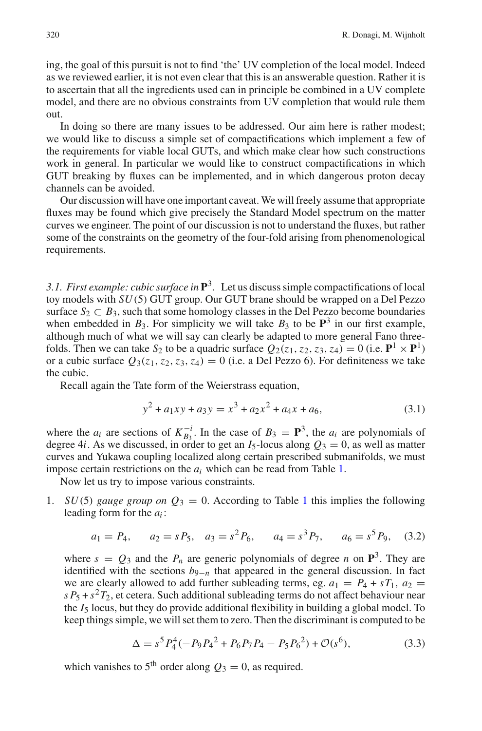ing, the goal of this pursuit is not to find 'the' UV completion of the local model. Indeed as we reviewed earlier, it is not even clear that this is an answerable question. Rather it is to ascertain that all the ingredients used can in principle be combined in a UV complete model, and there are no obvious constraints from UV completion that would rule them out.

In doing so there are many issues to be addressed. Our aim here is rather modest; we would like to discuss a simple set of compactifications which implement a few of the requirements for viable local GUTs, and which make clear how such constructions work in general. In particular we would like to construct compactifications in which GUT breaking by fluxes can be implemented, and in which dangerous proton decay channels can be avoided.

Our discussion will have one important caveat. We will freely assume that appropriate fluxes may be found which give precisely the Standard Model spectrum on the matter curves we engineer. The point of our discussion is not to understand the fluxes, but rather some of the constraints on the geometry of the four-fold arising from phenomenological requirements.

<span id="page-33-0"></span>*3.1. First example: cubic surface in* **P**3*.* Let us discuss simple compactifications of local toy models with *SU*(5) GUT group. Our GUT brane should be wrapped on a Del Pezzo surface  $S_2 \subset B_3$ , such that some homology classes in the Del Pezzo become boundaries when embedded in  $B_3$ . For simplicity we will take  $B_3$  to be  $\mathbf{P}^3$  in our first example, although much of what we will say can clearly be adapted to more general Fano threefolds. Then we can take  $S_2$  to be a quadric surface  $Q_2(z_1, z_2, z_3, z_4) = 0$  (i.e.  $\mathbf{P}^1 \times \mathbf{P}^1$ ) or a cubic surface  $Q_3(z_1, z_2, z_3, z_4) = 0$  (i.e. a Del Pezzo 6). For definiteness we take the cubic.

Recall again the Tate form of the Weierstrass equation,

$$
y^{2} + a_{1}xy + a_{3}y = x^{3} + a_{2}x^{2} + a_{4}x + a_{6}, \qquad (3.1)
$$

where the *a<sub>i</sub>* are sections of  $K_{B_3}^{-i}$ . In the case of  $B_3 = \mathbf{P}^3$ , the *a<sub>i</sub>* are polynomials of degree 4*i*. As we discussed, in order to get an  $I_5$ -locus along  $Q_3 = 0$ , as well as matter curves and Yukawa coupling localized along certain prescribed submanifolds, we must impose certain restrictions on the *ai* which can be read from Table [1.](#page-4-0)

Now let us try to impose various constraints.

[1](#page-4-0). *SU*(5) *gauge group on*  $Q_3 = 0$ . According to Table 1 this implies the following leading form for the *ai* :

$$
a_1 = P_4
$$
,  $a_2 = sP_5$ ,  $a_3 = s^2P_6$ ,  $a_4 = s^3P_7$ ,  $a_6 = s^5P_9$ , (3.2)

where  $s = Q_3$  and the  $P_n$  are generic polynomials of degree *n* on  $\mathbf{P}^3$ . They are identified with the sections  $b_{9-n}$  that appeared in the general discussion. In fact we are clearly allowed to add further subleading terms, eg.  $a_1 = P_4 + sT_1$ ,  $a_2 =$  $s P_5 + s^2 T_2$ , et cetera. Such additional subleading terms do not affect behaviour near the *I*<sup>5</sup> locus, but they do provide additional flexibility in building a global model. To keep things simple, we will set them to zero. Then the discriminant is computed to be

$$
\Delta = s^5 P_4^4 (-P_9 P_4^2 + P_6 P_7 P_4 - P_5 P_6^2) + \mathcal{O}(s^6),\tag{3.3}
$$

which vanishes to 5<sup>th</sup> order along  $Q_3 = 0$ , as required.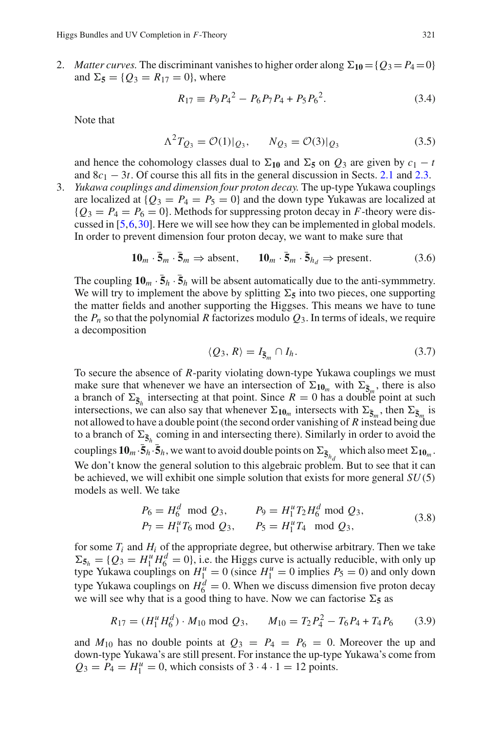2. *Matter curves.* The discriminant vanishes to higher order along  $\Sigma_{10} = \{Q_3 = P_4 = 0\}$ and  $\Sigma_5 = \{Q_3 = R_{17} = 0\}$ , where

$$
R_{17} \equiv P_9 P_4^2 - P_6 P_7 P_4 + P_5 P_6^2. \tag{3.4}
$$

Note that

$$
\Lambda^2 T_{Q_3} = \mathcal{O}(1)|_{Q_3}, \qquad N_{Q_3} = \mathcal{O}(3)|_{Q_3} \tag{3.5}
$$

and hence the cohomology classes dual to  $\Sigma_{10}$  and  $\Sigma_{5}$  on  $Q_{3}$  are given by  $c_{1} - t$ and  $8c_1 - 3t$ . Of course this all fits in the general discussion in Sects. [2.1](#page-3-1) and [2.3.](#page-9-0)

3. *Yukawa couplings and dimension four proton decay.* The up-type Yukawa couplings are localized at  $\{Q_3 = P_4 = P_5 = 0\}$  and the down type Yukawas are localized at  ${Q_3 = P_4 = P_6 = 0}$ . Methods for suppressing proton decay in *F*-theory were discussed in [\[5](#page-39-3),[6,](#page-39-8)[30\]](#page-40-9). Here we will see how they can be implemented in global models. In order to prevent dimension four proton decay, we want to make sure that

$$
10_m \cdot 5_m \cdot 5_m \Rightarrow \text{absent}, \qquad 10_m \cdot 5_m \cdot 5_{h_d} \Rightarrow \text{present.} \tag{3.6}
$$

The coupling  $10_m \cdot \overline{5}_h \cdot \overline{5}_h$  will be absent automatically due to the anti-symmmetry. We will try to implement the above by splitting  $\Sigma_5$  into two pieces, one supporting the matter fields and another supporting the Higgses. This means we have to tune the  $P_n$  so that the polynomial *R* factorizes modulo  $Q_3$ . In terms of ideals, we require a decomposition

$$
\langle Q_3, R \rangle = I_{\bar{\mathbf{5}}_m} \cap I_h. \tag{3.7}
$$

To secure the absence of *R*-parity violating down-type Yukawa couplings we must make sure that whenever we have an intersection of  $\Sigma_{10_m}$  with  $\Sigma_{\bar{5}_m}$ , there is also a branch of  $\Sigma_{\bar{5}_h}$  intersecting at that point. Since  $R = 0$  has a double point at such intersections, we can also say that whenever  $\Sigma_{10_m}$  intersects with  $\Sigma_{\bar{5}_m}$ , then  $\Sigma_{\bar{5}_m}$  is not allowed to have a double point (the second order vanishing of *R* instead being due to a branch of  $\Sigma_{\bar{5}_h}$  coming in and intersecting there). Similarly in order to avoid the couplings  $\mathbf{10}_m \cdot \mathbf{5}_h \cdot \mathbf{5}_h$ , we want to avoid double points on  $\Sigma_{\bar{\mathbf{5}}_{h_d}}$  which also meet  $\Sigma_{\mathbf{10}_m}$ . We don't know the general solution to this algebraic problem. But to see that it can be achieved, we will exhibit one simple solution that exists for more general *SU*(5) models as well. We take

$$
P_6 = H_6^d \mod Q_3, \qquad P_9 = H_1^u T_2 H_6^d \mod Q_3, P_7 = H_1^u T_6 \mod Q_3, \qquad P_5 = H_1^u T_4 \mod Q_3,
$$
 (3.8)

for some  $T_i$  and  $H_i$  of the appropriate degree, but otherwise arbitrary. Then we take  $\Sigma$ **5**<sup>*h*</sup> = { $Q$ <sub>3</sub> =  $H_1^u H_6^d$  = 0}, i.e. the Higgs curve is actually reducible, with only up type Yukawa couplings on  $H_1^u = 0$  (since  $H_1^u = 0$  implies  $P_5 = 0$ ) and only down type Yukawa couplings on  $H_6^d = 0$ . When we discuss dimension five proton decay we will see why that is a good thing to have. Now we can factorise  $\Sigma_5$  as

$$
R_{17} = (H_1^u H_6^d) \cdot M_{10} \text{ mod } Q_3, \qquad M_{10} = T_2 P_4^2 - T_6 P_4 + T_4 P_6 \tag{3.9}
$$

and  $M_{10}$  has no double points at  $Q_3 = P_4 = P_6 = 0$ . Moreover the up and down-type Yukawa's are still present. For instance the up-type Yukawa's come from  $Q_3 = P_4 = H_1^u = 0$ , which consists of  $3 \cdot 4 \cdot 1 = 12$  points.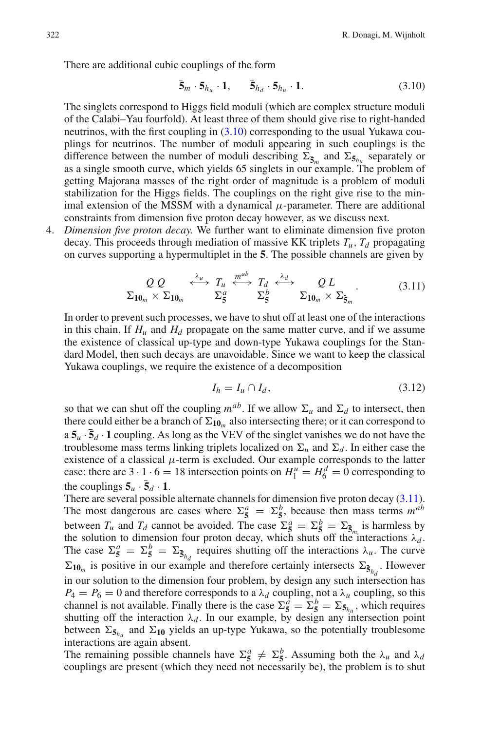<span id="page-35-0"></span>There are additional cubic couplings of the form

$$
\mathbf{5}_m \cdot \mathbf{5}_{h_u} \cdot \mathbf{1}, \qquad \mathbf{5}_{h_d} \cdot \mathbf{5}_{h_u} \cdot \mathbf{1}.
$$
 (3.10)

The singlets correspond to Higgs field moduli (which are complex structure moduli of the Calabi–Yau fourfold). At least three of them should give rise to right-handed neutrinos, with the first coupling in [\(3.10\)](#page-35-0) corresponding to the usual Yukawa couplings for neutrinos. The number of moduli appearing in such couplings is the difference between the number of moduli describing  $\Sigma_{\bar{s}}$  and  $\Sigma_{\bar{s}}$  separately or as a single smooth curve, which yields 65 singlets in our example. The problem of getting Majorana masses of the right order of magnitude is a problem of moduli stabilization for the Higgs fields. The couplings on the right give rise to the minimal extension of the MSSM with a dynamical  $\mu$ -parameter. There are additional constraints from dimension five proton decay however, as we discuss next.

4. *Dimension five proton decay.* We further want to eliminate dimension five proton decay. This proceeds through mediation of massive KK triplets  $T_u$ ,  $T_d$  propagating on curves supporting a hypermultiplet in the **5**. The possible channels are given by

$$
\mathcal{Q} \mathcal{Q} \xrightarrow{\lambda_u} T_u \xrightarrow{\lambda_d} T_d \xrightarrow{\mu^{mb}} T_d \xrightarrow{\lambda_d} \mathcal{Q} L
$$
\n
$$
\Sigma_{10_m} \times \Sigma_{10_m} \xrightarrow{\Sigma_g} \Sigma_g^k \Sigma_{10_m} \times \Sigma_{\bar{S}_m}.
$$
\n(3.11)

<span id="page-35-1"></span>In order to prevent such processes, we have to shut off at least one of the interactions in this chain. If  $H_u$  and  $H_d$  propagate on the same matter curve, and if we assume the existence of classical up-type and down-type Yukawa couplings for the Standard Model, then such decays are unavoidable. Since we want to keep the classical Yukawa couplings, we require the existence of a decomposition

$$
I_h = I_u \cap I_d,\tag{3.12}
$$

so that we can shut off the coupling  $m^{ab}$ . If we allow  $\Sigma_u$  and  $\Sigma_d$  to intersect, then there could either be a branch of  $\Sigma_{10_m}$  also intersecting there; or it can correspond to  $a \bar{b}_u \cdot \bar{b}_d \cdot 1$  coupling. As long as the VEV of the singlet vanishes we do not have the troublesome mass terms linking triplets localized on  $\Sigma_u$  and  $\Sigma_d$ . In either case the existence of a classical  $\mu$ -term is excluded. Our example corresponds to the latter case: there are  $3 \cdot 1 \cdot 6 = 18$  intersection points on  $H_1^u = H_6^d = 0$  corresponding to the couplings  $\mathbf{5}_u \cdot \mathbf{\bar{5}}_d \cdot \mathbf{1}$ .

There are several possible alternate channels for dimension five proton decay [\(3.11\)](#page-35-1). The most dangerous are cases where  $\Sigma^a_5 = \Sigma^b_5$ , because then mass terms  $m^{ab}$ between  $T_u$  and  $T_d$  cannot be avoided. The case  $\sum_{s=1}^{a} = \sum_{s=1}^{b} = \sum_{s=m}^{b}$  is harmless by the solution to dimension four proton decay, which shuts off the interactions  $\lambda_d$ . The case  $\Sigma^a_5 = \Sigma^b_5 = \Sigma_{\bar{5}_{h_d}}$  requires shutting off the interactions  $\lambda_u$ . The curve  $\Sigma_{10_m}$  is positive in our example and therefore certainly intersects  $\Sigma_{\bar{5}_{h_d}}$ . However in our solution to the dimension four problem, by design any such intersection has  $P_4 = P_6 = 0$  and therefore corresponds to a  $\lambda_d$  coupling, not a  $\lambda_u$  coupling, so this channel is not available. Finally there is the case  $\Sigma_5^a = \Sigma_5^b = \Sigma_{5_{h_u}}$ , which requires shutting off the interaction  $\lambda_d$ . In our example, by design any intersection point between  $\Sigma_{5_{hu}}$  and  $\Sigma_{10}$  yields an up-type Yukawa, so the potentially troublesome interactions are again absent.

The remaining possible channels have  $\Sigma_5^a \neq \Sigma_5^b$ . Assuming both the  $\lambda_u$  and  $\lambda_d$ couplings are present (which they need not necessarily be), the problem is to shut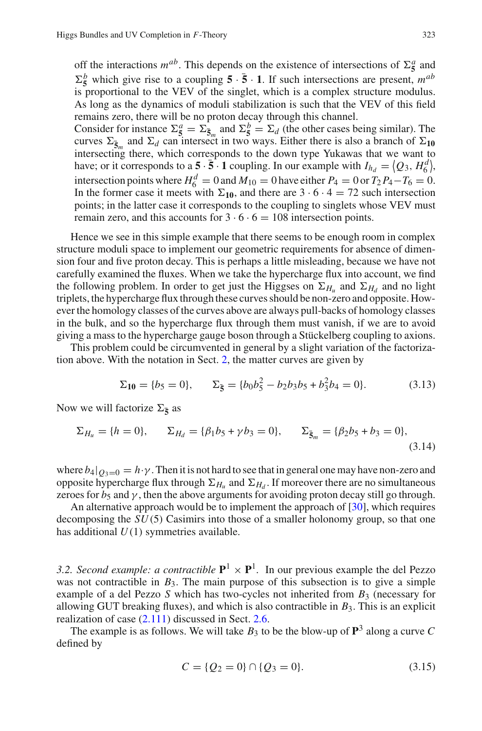off the interactions  $m^{ab}$ . This depends on the existence of intersections of  $\Sigma_5^a$  and  $\Sigma_5^b$  which give rise to a coupling  $\overline{5} \cdot \overline{5} \cdot \overline{1}$ . If such intersections are present,  $m^{ab}$ is proportional to the VEV of the singlet, which is a complex structure modulus. As long as the dynamics of moduli stabilization is such that the VEV of this field remains zero, there will be no proton decay through this channel.

Consider for instance  $\Sigma^a_5 = \Sigma_{5_m}$  and  $\Sigma^b_5 = \Sigma_d$  (the other cases being similar). The curves  $\Sigma_{\bar{5}_m}$  and  $\Sigma_d$  can intersect in two ways. Either there is also a branch of  $\Sigma_{10}$ intersecting there, which corresponds to the down type Yukawas that we want to have; or it corresponds to a **5**  $\cdot$  **5**  $\cdot$  **1** coupling. In our example with  $I_{h_d} = \langle Q_3, H_6^d \rangle$ , intersection points where  $H_6^d = 0$  and  $M_{10} = 0$  have either  $P_4 = 0$  or  $T_2 P_4 - T_6 = 0$ . In the former case it meets with  $\Sigma_{10}$ , and there are  $3 \cdot 6 \cdot 4 = 72$  such intersection points; in the latter case it corresponds to the coupling to singlets whose VEV must remain zero, and this accounts for  $3 \cdot 6 \cdot 6 = 108$  intersection points.

Hence we see in this simple example that there seems to be enough room in complex structure moduli space to implement our geometric requirements for absence of dimension four and five proton decay. This is perhaps a little misleading, because we have not carefully examined the fluxes. When we take the hypercharge flux into account, we find the following problem. In order to get just the Higgses on  $\Sigma_{H_u}$  and  $\Sigma_{H_d}$  and no light triplets, the hypercharge flux through these curves should be non-zero and opposite. However the homology classes of the curves above are always pull-backs of homology classes in the bulk, and so the hypercharge flux through them must vanish, if we are to avoid giving a mass to the hypercharge gauge boson through a Stückelberg coupling to axions.

This problem could be circumvented in general by a slight variation of the factorization above. With the notation in Sect. [2,](#page-3-0) the matter curves are given by

$$
\Sigma_{10} = \{b_5 = 0\}, \qquad \Sigma_{\bar{5}} = \{b_0 b_5^2 - b_2 b_3 b_5 + b_3^2 b_4 = 0\}.
$$
 (3.13)

Now we will factorize  $\Sigma_{\bar{5}}$  as

$$
\Sigma_{H_u} = \{h = 0\}, \qquad \Sigma_{H_d} = \{\beta_1 b_5 + \gamma b_3 = 0\}, \qquad \Sigma_{\bar{S}_m} = \{\beta_2 b_5 + b_3 = 0\},\tag{3.14}
$$

where  $b_4|_{Q_3=0} = h \cdot \gamma$ . Then it is not hard to see that in general one may have non-zero and opposite hypercharge flux through  $\Sigma_{H_u}$  and  $\Sigma_{H_d}$ . If moreover there are no simultaneous zeroes for  $b_5$  and  $\gamma$ , then the above arguments for avoiding proton decay still go through.

An alternative approach would be to implement the approach of [\[30\]](#page-40-9), which requires decomposing the *SU*(5) Casimirs into those of a smaller holonomy group, so that one has additional  $U(1)$  symmetries available.

<span id="page-36-0"></span>*3.2. Second example: a contractible*  $P^1 \times P^1$ . In our previous example the del Pezzo was not contractible in  $B_3$ . The main purpose of this subsection is to give a simple example of a del Pezzo *S* which has two-cycles not inherited from  $B_3$  (necessary for allowing GUT breaking fluxes), and which is also contractible in *B*3. This is an explicit realization of case [\(2.111\)](#page-26-0) discussed in Sect. [2.6.](#page-25-0)

<span id="page-36-1"></span>The example is as follows. We will take  $B_3$  to be the blow-up of  $\mathbb{P}^3$  along a curve C defined by

$$
C = \{Q_2 = 0\} \cap \{Q_3 = 0\}.\tag{3.15}
$$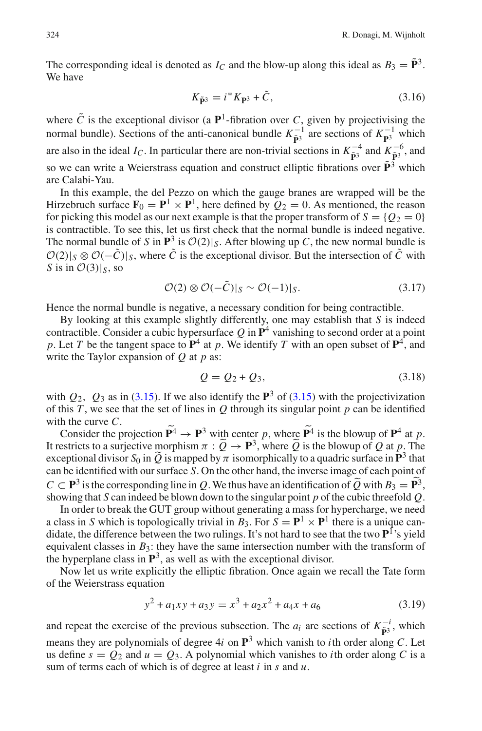The corresponding ideal is denoted as  $I_C$  and the blow-up along this ideal as  $B_3 = \tilde{\mathbf{P}}^3$ . We have

$$
K_{\tilde{\mathbf{P}}^3} = i^* K_{\mathbf{P}^3} + \tilde{C},\tag{3.16}
$$

where  $\tilde{C}$  is the exceptional divisor (a  $\mathbf{P}^1$ -fibration over *C*, given by projectivising the normal bundle). Sections of the anti-canonical bundle  $K_{\tilde{P}^3}^{-1}$  are sections of  $K_{\tilde{P}^3}^{-1}$  which are also in the ideal *I<sub>C</sub>*. In particular there are non-trivial sections in  $K_{\tilde{P}^3}^{-4}$  and  $K_{\tilde{P}^3}^{-6}$ , and so we can write a Weierstrass equation and construct elliptic fibrations over  $\tilde{\mathbf{P}}^3$  which are Calabi-Yau.

In this example, the del Pezzo on which the gauge branes are wrapped will be the Hirzebruch surface  $\mathbf{F}_0 = \mathbf{P}^1 \times \mathbf{P}^1$ , here defined by  $\tilde{Q}_2 = 0$ . As mentioned, the reason for picking this model as our next example is that the proper transform of  $S = \{Q_2 = 0\}$ is contractible. To see this, let us first check that the normal bundle is indeed negative. The normal bundle of *S* in  $\mathbf{P}^3$  is  $\mathcal{O}(2)|_S$ . After blowing up *C*, the new normal bundle is  $O(2)|_S \otimes O(-\tilde{C})|_S$ , where  $\tilde{C}$  is the exceptional divisor. But the intersection of  $\tilde{C}$  with *S* is in  $\mathcal{O}(3)|_S$ , so

$$
\mathcal{O}(2) \otimes \mathcal{O}(-\tilde{C})|_{S} \sim \mathcal{O}(-1)|_{S}.
$$
 (3.17)

<span id="page-37-0"></span>Hence the normal bundle is negative, a necessary condition for being contractible.

By looking at this example slightly differently, one may establish that *S* is indeed contractible. Consider a cubic hypersurface  $Q$  in  $\mathbf{P}^4$  vanishing to second order at a point *p*. Let *T* be the tangent space to  $\mathbf{P}^4$  at *p*. We identify *T* with an open subset of  $\mathbf{P}^4$ , and write the Taylor expansion of *Q* at *p* as:

$$
Q = Q_2 + Q_3,\tag{3.18}
$$

with  $Q_2$ ,  $Q_3$  as in [\(3.15\)](#page-36-1). If we also identify the  $\mathbf{P}^3$  of (3.15) with the projectivization of this  $T$ , we see that the set of lines in  $Q$  through its singular point  $p$  can be identified with the curve *C*.

Consider the projection  $\mathbf{P}^4 \to \mathbf{P}^3$  with center *p*, where  $\mathbf{P}^4$  is the blowup of  $\mathbf{P}^4$  at *p*. It restricts to a surjective morphism  $\pi : \widetilde{Q} \to \mathbf{P}^3$ , where  $\widetilde{Q}$  is the blowup of *Q* at *p*. The expectional divisor *S*<sub>2</sub> in  $\widetilde{Q}$  is morphod by  $\pi$  isomorphically to a quadric surface in  $\mathbf{P}^3$  t exceptional divisor  $S_0$  in  $\tilde{Q}$  is mapped by  $\pi$  isomorphically to a quadric surface in  $\mathbf{P}^3$  that can be identified with our surface *S*. On the other hand, the inverse image of each point of *C* ⊂ **P**<sup>3</sup> is the corresponding line in *Q*. We thus have an identification of  $\tilde{Q}$  with  $B_3 = P^3$ , showing that *S* can indeed be blown down to the cincular point n of the qubia threafold *Q*. showing that *S* can indeed be blown down to the singular point *p* of the cubic threefold *Q*.

In order to break the GUT group without generating a mass for hypercharge, we need a class in *S* which is topologically trivial in  $B_3$ . For  $S = \mathbf{P}^1 \times \mathbf{P}^1$  there is a unique candidate, the difference between the two rulings. It's not hard to see that the two **P**1's yield equivalent classes in *B*<sub>3</sub>: they have the same intersection number with the transform of the hyperplane class in  $\mathbf{P}^3$ , as well as with the exceptional divisor.

Now let us write explicitly the elliptic fibration. Once again we recall the Tate form of the Weierstrass equation

$$
y^{2} + a_{1}xy + a_{3}y = x^{3} + a_{2}x^{2} + a_{4}x + a_{6}
$$
 (3.19)

and repeat the exercise of the previous subsection. The  $a_i$  are sections of  $K_{\tilde{P}^3}^{-i}$ , which means they are polynomials of degree  $4i$  on  $\mathbb{P}^3$  which vanish to *i*th order along *C*. Let us define  $s = Q_2$  and  $u = Q_3$ . A polynomial which vanishes to *i*th order along *C* is a sum of terms each of which is of degree at least *i* in *s* and *u*.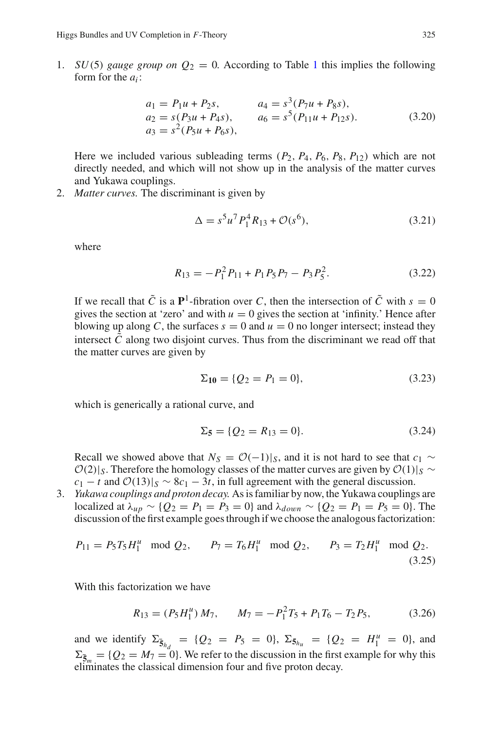[1](#page-4-0). *SU(5) gauge group on*  $Q_2 = 0$ *.* According to Table 1 this implies the following form for the *ai* :

$$
a_1 = P_1 u + P_2 s, \t a_4 = s^3 (P_7 u + P_8 s),
$$
  
\n
$$
a_2 = s (P_3 u + P_4 s), \t a_6 = s^5 (P_{11} u + P_{12} s).
$$
\n(3.20)  
\n
$$
a_3 = s^2 (P_5 u + P_6 s),
$$

Here we included various subleading terms  $(P_2, P_4, P_6, P_8, P_{12})$  which are not directly needed, and which will not show up in the analysis of the matter curves and Yukawa couplings.

2. *Matter curves.* The discriminant is given by

$$
\Delta = s^5 u^7 P_1^4 R_{13} + \mathcal{O}(s^6),\tag{3.21}
$$

where

$$
R_{13} = -P_1^2 P_{11} + P_1 P_5 P_7 - P_3 P_5^2. \tag{3.22}
$$

If we recall that  $\tilde{C}$  is a  $\mathbf{P}^1$ -fibration over *C*, then the intersection of  $\tilde{C}$  with  $s = 0$ gives the section at 'zero' and with  $u = 0$  gives the section at 'infinity.' Hence after blowing up along *C*, the surfaces  $s = 0$  and  $u = 0$  no longer intersect; instead they intersect  $\tilde{C}$  along two disjoint curves. Thus from the discriminant we read off that the matter curves are given by

$$
\Sigma_{10} = \{Q_2 = P_1 = 0\},\tag{3.23}
$$

which is generically a rational curve, and

$$
\Sigma_5 = \{Q_2 = R_{13} = 0\}.\tag{3.24}
$$

Recall we showed above that  $N_S = \mathcal{O}(-1)|_S$ , and it is not hard to see that  $c_1 \sim$ *O*(2)|*S*. Therefore the homology classes of the matter curves are given by *O*(1)|*S* ∼  $c_1 - t$  and  $\mathcal{O}(13)|_S \sim 8c_1 - 3t$ , in full agreement with the general discussion.

3. *Yukawa couplings and proton decay.* As is familiar by now, the Yukawa couplings are localized at λ*up* ∼ {*Q*<sup>2</sup> = *P*<sup>1</sup> = *P*<sup>3</sup> = 0} and λ*do*w*<sup>n</sup>* ∼ {*Q*<sup>2</sup> = *P*<sup>1</sup> = *P*<sup>5</sup> = 0}. The discussion of the first example goes through if we choose the analogous factorization:

$$
P_{11} = P_5 T_5 H_1^u \mod Q_2, \qquad P_7 = T_6 H_1^u \mod Q_2, \qquad P_3 = T_2 H_1^u \mod Q_2.
$$
\n(3.25)

With this factorization we have

$$
R_{13} = (P_5 H_1^u) M_7, \qquad M_7 = -P_1^2 T_5 + P_1 T_6 - T_2 P_5,\tag{3.26}
$$

and we identify  $\Sigma_{\bar{5}_{h_d}} = \{Q_2 = P_5 = 0\}$ ,  $\Sigma_{5_{h_u}} = \{Q_2 = H_1^u = 0\}$ , and  $\Sigma_{\bar{5}_m} = \{Q_2 = M_7 = 0\}$ . We refer to the discussion in the first example for why this eliminates the classical dimension four and five proton decay.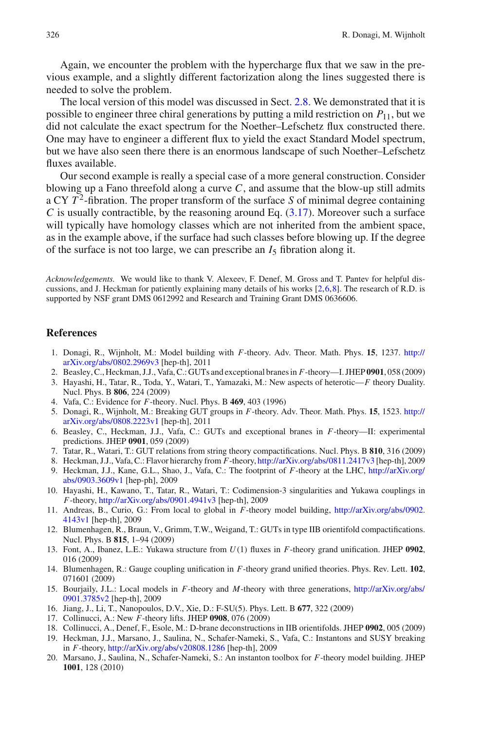Again, we encounter the problem with the hypercharge flux that we saw in the previous example, and a slightly different factorization along the lines suggested there is needed to solve the problem.

The local version of this model was discussed in Sect. [2.8.](#page-29-0) We demonstrated that it is possible to engineer three chiral generations by putting a mild restriction on  $P_{11}$ , but we did not calculate the exact spectrum for the Noether–Lefschetz flux constructed there. One may have to engineer a different flux to yield the exact Standard Model spectrum, but we have also seen there there is an enormous landscape of such Noether–Lefschetz fluxes available.

Our second example is really a special case of a more general construction. Consider blowing up a Fano threefold along a curve *C*, and assume that the blow-up still admits a CY  $T^2$ -fibration. The proper transform of the surface S of minimal degree containing *C* is usually contractible, by the reasoning around Eq.  $(3.17)$ . Moreover such a surface will typically have homology classes which are not inherited from the ambient space, as in the example above, if the surface had such classes before blowing up. If the degree of the surface is not too large, we can prescribe an  $I_5$  fibration along it.

*Acknowledgements.* We would like to thank V. Alexeev, F. Denef, M. Gross and T. Pantev for helpful discussions, and J. Heckman for patiently explaining many details of his works [\[2,](#page-39-5)[6](#page-39-8)[,8](#page-39-9)]. The research of R.D. is supported by NSF grant DMS 0612992 and Research and Training Grant DMS 0636606.

#### <span id="page-39-0"></span>**References**

- 1. Donagi, R., Wijnholt, M.: Model building with *F*-theory. Adv. Theor. Math. Phys. **15**, 1237. [http://](http://arXiv.org/abs/0802.2969v3) [arXiv.org/abs/0802.2969v3](http://arXiv.org/abs/0802.2969v3) [hep-th], 2011
- <span id="page-39-5"></span>2. Beasley, C., Heckman, J.J., Vafa, C.: GUTs and exceptional branes in *F*-theory—I. JHEP **0901**, 058 (2009)
- <span id="page-39-1"></span>3. Hayashi, H., Tatar, R., Toda, Y., Watari, T., Yamazaki, M.: New aspects of heterotic—*F* theory Duality. Nucl. Phys. B **806**, 224 (2009)
- <span id="page-39-2"></span>4. Vafa, C.: Evidence for *F*-theory. Nucl. Phys. B **469**, 403 (1996)
- <span id="page-39-3"></span>5. Donagi, R., Wijnholt, M.: Breaking GUT groups in *F*-theory. Adv. Theor. Math. Phys. **15**, 1523. [http://](http://arXiv.org/abs/0808.2223v1) [arXiv.org/abs/0808.2223v1](http://arXiv.org/abs/0808.2223v1) [hep-th], 2011
- <span id="page-39-8"></span>6. Beasley, C., Heckman, J.J., Vafa, C.: GUTs and exceptional branes in *F*-theory—II: experimental predictions. JHEP **0901**, 059 (2009)
- 7. Tatar, R., Watari, T.: GUT relations from string theory compactifications. Nucl. Phys. B **810**, 316 (2009)
- 8. Heckman, J.J., Vafa, C.: Flavor hierarchy from *F*-theory, <http://arXiv.org/abs/0811.2417v3> [hep-th], 2009
- <span id="page-39-9"></span>9. Heckman, J.J., Kane, G.L., Shao, J., Vafa, C.: The footprint of *F*-theory at the LHC, [http://arXiv.org/](http://arXiv.org/abs/0903.3609v1) [abs/0903.3609v1](http://arXiv.org/abs/0903.3609v1) [hep-ph], 2009
- <span id="page-39-6"></span>10. Hayashi, H., Kawano, T., Tatar, R., Watari, T.: Codimension-3 singularities and Yukawa couplings in *F*-theory, <http://arXiv.org/abs/0901.4941v3> [hep-th], 2009
- 11. Andreas, B., Curio, G.: From local to global in *F*-theory model building, [http://arXiv.org/abs/0902.](http://arXiv.org/abs/0902.4143v1) [4143v1](http://arXiv.org/abs/0902.4143v1) [hep-th], 2009
- <span id="page-39-7"></span>12. Blumenhagen, R., Braun, V., Grimm, T.W., Weigand, T.: GUTs in type IIB orientifold compactifications. Nucl. Phys. B **815**, 1–94 (2009)
- 13. Font, A., Ibanez, L.E.: Yukawa structure from *U*(1) fluxes in *F*-theory grand unification. JHEP **0902**, 016 (2009)
- 14. Blumenhagen, R.: Gauge coupling unification in *F*-theory grand unified theories. Phys. Rev. Lett. **102**, 071601 (2009)
- 15. Bourjaily, J.L.: Local models in *F*-theory and *M*-theory with three generations, [http://arXiv.org/abs/](http://arXiv.org/abs/0901.3785v2) [0901.3785v2](http://arXiv.org/abs/0901.3785v2) [hep-th], 2009
- 16. Jiang, J., Li, T., Nanopoulos, D.V., Xie, D.: F-SU(5). Phys. Lett. B **677**, 322 (2009)
- 17. Collinucci, A.: New *F*-theory lifts. JHEP **0908**, 076 (2009)
- 18. Collinucci, A., Denef, F., Esole, M.: D-brane deconstructions in IIB orientifolds. JHEP **0902**, 005 (2009)
- 19. Heckman, J.J., Marsano, J., Saulina, N., Schafer-Nameki, S., Vafa, C.: Instantons and SUSY breaking in *F*-theory, <http://arXiv.org/abs/v20808.1286> [hep-th], 2009
- <span id="page-39-4"></span>20. Marsano, J., Saulina, N., Schafer-Nameki, S.: An instanton toolbox for *F*-theory model building. JHEP **1001**, 128 (2010)